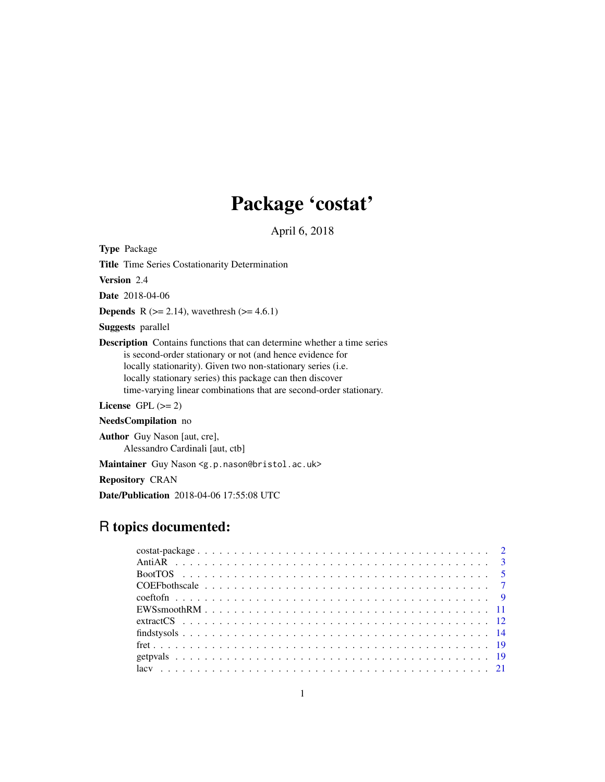## Package 'costat'

April 6, 2018

Type Package

Title Time Series Costationarity Determination

Version 2.4

Date 2018-04-06

**Depends** R ( $>= 2.14$ ), wavethresh ( $>= 4.6.1$ )

Suggests parallel

Description Contains functions that can determine whether a time series is second-order stationary or not (and hence evidence for locally stationarity). Given two non-stationary series (i.e. locally stationary series) this package can then discover time-varying linear combinations that are second-order stationary.

License GPL  $(>= 2)$ 

NeedsCompilation no

Author Guy Nason [aut, cre], Alessandro Cardinali [aut, ctb]

Maintainer Guy Nason <g.p.nason@bristol.ac.uk>

Repository CRAN

Date/Publication 2018-04-06 17:55:08 UTC

## R topics documented: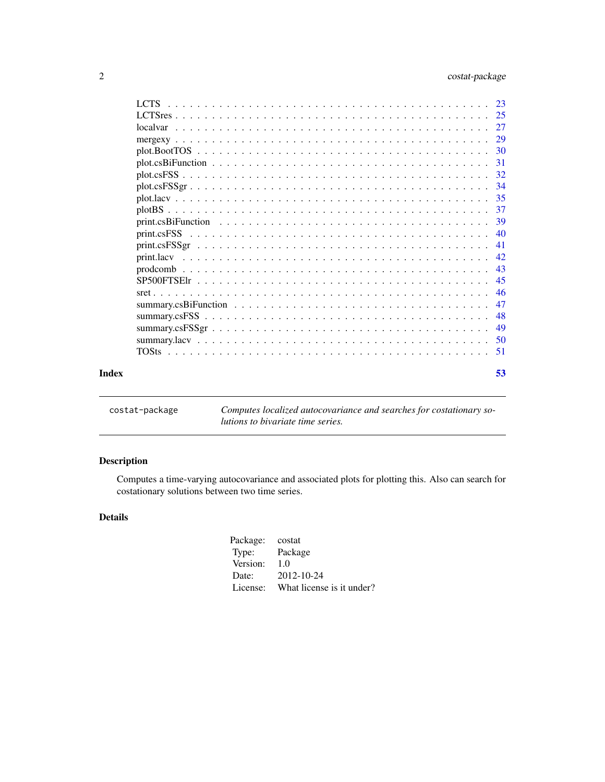<span id="page-1-0"></span>

|  | I | I |
|--|---|---|
|  |   |   |

| costat-package | Computes localized autocovariance and searches for costationary so- |
|----------------|---------------------------------------------------------------------|
|                | <i>lutions to bivariate time series.</i>                            |

## Description

Computes a time-varying autocovariance and associated plots for plotting this. Also can search for costationary solutions between two time series.

## Details

| Package: | costat                    |
|----------|---------------------------|
| Type:    | Package                   |
| Version: | 1.0                       |
| Date:    | 2012-10-24                |
| License: | What license is it under? |
|          |                           |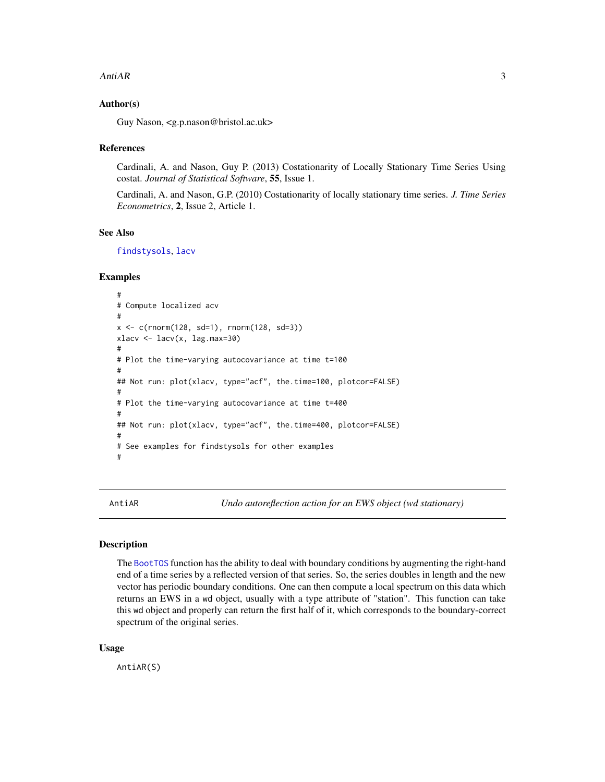#### <span id="page-2-0"></span>AntiAR 3

## Author(s)

Guy Nason, <g.p.nason@bristol.ac.uk>

#### References

Cardinali, A. and Nason, Guy P. (2013) Costationarity of Locally Stationary Time Series Using costat. *Journal of Statistical Software*, 55, Issue 1.

Cardinali, A. and Nason, G.P. (2010) Costationarity of locally stationary time series. *J. Time Series Econometrics*, 2, Issue 2, Article 1.

## See Also

[findstysols](#page-13-1), [lacv](#page-20-1)

#### Examples

```
#
# Compute localized acv
#
x <- c(rnorm(128, sd=1), rnorm(128, sd=3))
xlacv \leftarrow lacv(x, \text{lag.max}=30)#
# Plot the time-varying autocovariance at time t=100
#
## Not run: plot(xlacv, type="acf", the.time=100, plotcor=FALSE)
#
# Plot the time-varying autocovariance at time t=400
#
## Not run: plot(xlacv, type="acf", the.time=400, plotcor=FALSE)
#
# See examples for findstysols for other examples
#
```
AntiAR *Undo autoreflection action for an EWS object (wd stationary)*

#### Description

The [BootTOS](#page-4-1) function has the ability to deal with boundary conditions by augmenting the right-hand end of a time series by a reflected version of that series. So, the series doubles in length and the new vector has periodic boundary conditions. One can then compute a local spectrum on this data which returns an EWS in a wd object, usually with a type attribute of "station". This function can take this wd object and properly can return the first half of it, which corresponds to the boundary-correct spectrum of the original series.

#### Usage

AntiAR(S)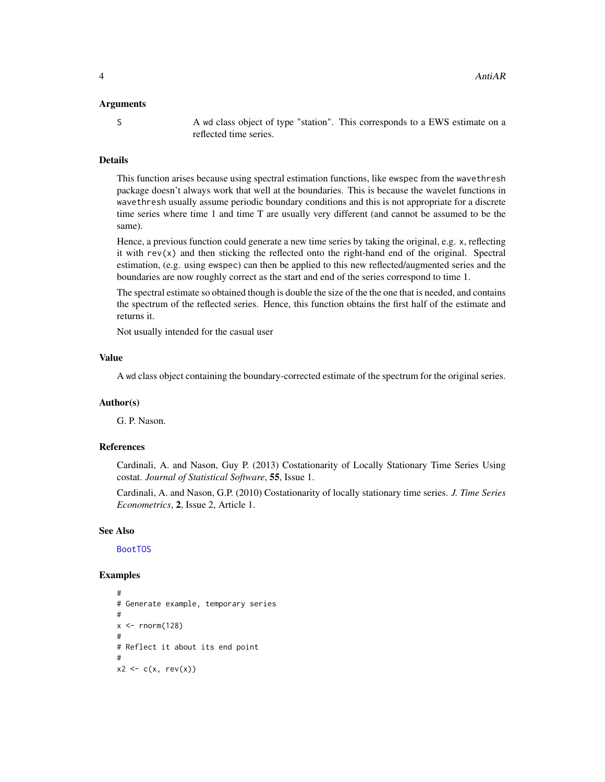#### <span id="page-3-0"></span>Arguments

S A wd class object of type "station". This corresponds to a EWS estimate on a reflected time series.

## Details

This function arises because using spectral estimation functions, like ewspec from the wavethresh package doesn't always work that well at the boundaries. This is because the wavelet functions in wavethresh usually assume periodic boundary conditions and this is not appropriate for a discrete time series where time 1 and time T are usually very different (and cannot be assumed to be the same).

Hence, a previous function could generate a new time series by taking the original, e.g. x, reflecting it with rev(x) and then sticking the reflected onto the right-hand end of the original. Spectral estimation, (e.g. using ewspec) can then be applied to this new reflected/augmented series and the boundaries are now roughly correct as the start and end of the series correspond to time 1.

The spectral estimate so obtained though is double the size of the the one that is needed, and contains the spectrum of the reflected series. Hence, this function obtains the first half of the estimate and returns it.

Not usually intended for the casual user

## Value

A wd class object containing the boundary-corrected estimate of the spectrum for the original series.

## Author(s)

G. P. Nason.

## References

Cardinali, A. and Nason, Guy P. (2013) Costationarity of Locally Stationary Time Series Using costat. *Journal of Statistical Software*, 55, Issue 1.

Cardinali, A. and Nason, G.P. (2010) Costationarity of locally stationary time series. *J. Time Series Econometrics*, 2, Issue 2, Article 1.

#### See Also

[BootTOS](#page-4-1)

```
#
# Generate example, temporary series
#
x < - rnorm(128)
#
# Reflect it about its end point
#
x2 \leq c(x, rev(x))
```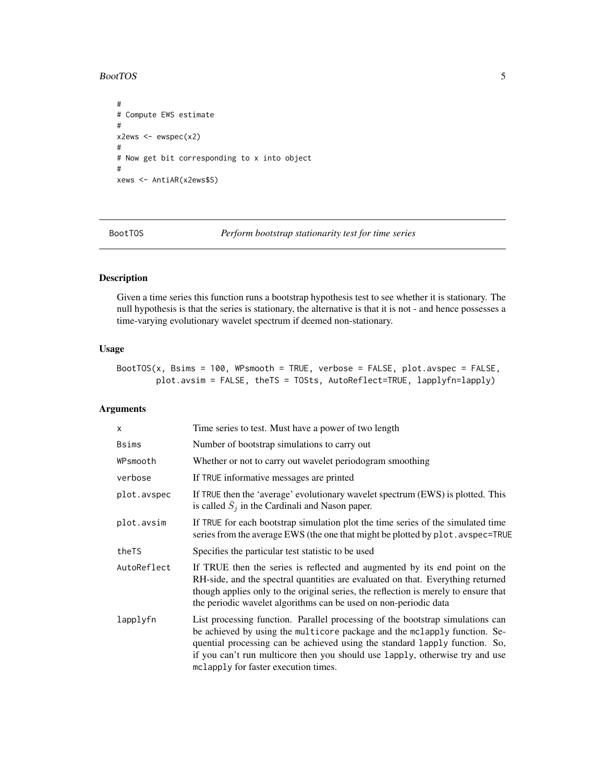<span id="page-4-0"></span>BootTOS 5

```
#
# Compute EWS estimate
#
x2ews < - ewspec(x2)
#
# Now get bit corresponding to x into object
#
xews <- AntiAR(x2ews$S)
```
<span id="page-4-1"></span>

BootTOS *Perform bootstrap stationarity test for time series*

## Description

Given a time series this function runs a bootstrap hypothesis test to see whether it is stationary. The null hypothesis is that the series is stationary, the alternative is that it is not - and hence possesses a time-varying evolutionary wavelet spectrum if deemed non-stationary.

#### Usage

BootTOS(x, Bsims = 100, WPsmooth = TRUE, verbose = FALSE, plot.avspec = FALSE, plot.avsim = FALSE, theTS = TOSts, AutoReflect=TRUE, lapplyfn=lapply)

| X           | Time series to test. Must have a power of two length                                                                                                                                                                                                                                                                                                               |
|-------------|--------------------------------------------------------------------------------------------------------------------------------------------------------------------------------------------------------------------------------------------------------------------------------------------------------------------------------------------------------------------|
| Bsims       | Number of bootstrap simulations to carry out                                                                                                                                                                                                                                                                                                                       |
| WPsmooth    | Whether or not to carry out wavelet periodogram smoothing                                                                                                                                                                                                                                                                                                          |
| verbose     | If TRUE informative messages are printed                                                                                                                                                                                                                                                                                                                           |
| plot.avspec | If TRUE then the 'average' evolutionary wavelet spectrum (EWS) is plotted. This<br>is called $\overline{S}_i$ in the Cardinali and Nason paper.                                                                                                                                                                                                                    |
| plot.avsim  | If TRUE for each bootstrap simulation plot the time series of the simulated time<br>series from the average EWS (the one that might be plotted by plot. avspec=TRUE                                                                                                                                                                                                |
| theTS       | Specifies the particular test statistic to be used                                                                                                                                                                                                                                                                                                                 |
| AutoReflect | If TRUE then the series is reflected and augmented by its end point on the<br>RH-side, and the spectral quantities are evaluated on that. Everything returned<br>though applies only to the original series, the reflection is merely to ensure that<br>the periodic wavelet algorithms can be used on non-periodic data                                           |
| lapplyfn    | List processing function. Parallel processing of the bootstrap simulations can<br>be achieved by using the multicore package and the mclapply function. Se-<br>quential processing can be achieved using the standard lapply function. So,<br>if you can't run multicore then you should use lapply, otherwise try and use<br>mclapply for faster execution times. |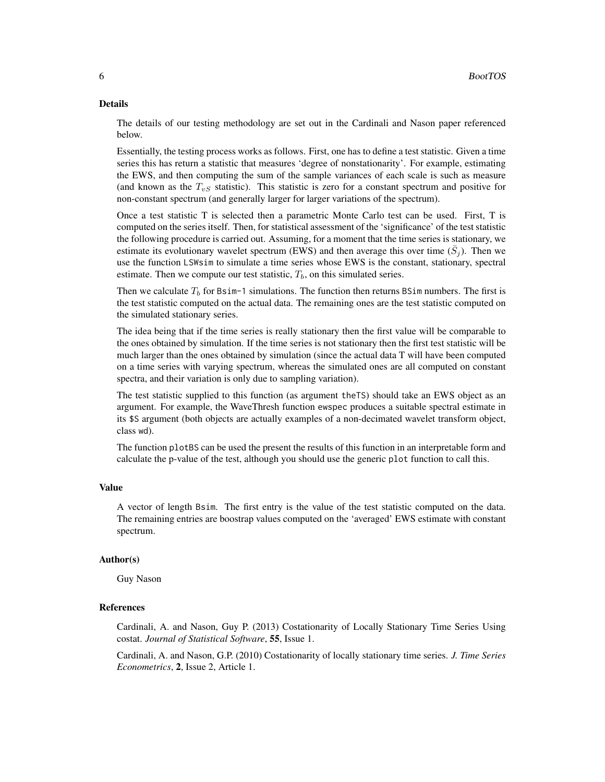#### Details

The details of our testing methodology are set out in the Cardinali and Nason paper referenced below.

Essentially, the testing process works as follows. First, one has to define a test statistic. Given a time series this has return a statistic that measures 'degree of nonstationarity'. For example, estimating the EWS, and then computing the sum of the sample variances of each scale is such as measure (and known as the  $T_{vS}$  statistic). This statistic is zero for a constant spectrum and positive for non-constant spectrum (and generally larger for larger variations of the spectrum).

Once a test statistic T is selected then a parametric Monte Carlo test can be used. First, T is computed on the series itself. Then, for statistical assessment of the 'significance' of the test statistic the following procedure is carried out. Assuming, for a moment that the time series is stationary, we estimate its evolutionary wavelet spectrum (EWS) and then average this over time  $(\bar{S}_j)$ . Then we use the function LSWsim to simulate a time series whose EWS is the constant, stationary, spectral estimate. Then we compute our test statistic,  $T<sub>b</sub>$ , on this simulated series.

Then we calculate  $T_b$  for Bsim-1 simulations. The function then returns BSim numbers. The first is the test statistic computed on the actual data. The remaining ones are the test statistic computed on the simulated stationary series.

The idea being that if the time series is really stationary then the first value will be comparable to the ones obtained by simulation. If the time series is not stationary then the first test statistic will be much larger than the ones obtained by simulation (since the actual data T will have been computed on a time series with varying spectrum, whereas the simulated ones are all computed on constant spectra, and their variation is only due to sampling variation).

The test statistic supplied to this function (as argument theTS) should take an EWS object as an argument. For example, the WaveThresh function ewspec produces a suitable spectral estimate in its \$S argument (both objects are actually examples of a non-decimated wavelet transform object, class wd).

The function plotBS can be used the present the results of this function in an interpretable form and calculate the p-value of the test, although you should use the generic plot function to call this.

## Value

A vector of length Bsim. The first entry is the value of the test statistic computed on the data. The remaining entries are boostrap values computed on the 'averaged' EWS estimate with constant spectrum.

#### Author(s)

Guy Nason

## References

Cardinali, A. and Nason, Guy P. (2013) Costationarity of Locally Stationary Time Series Using costat. *Journal of Statistical Software*, 55, Issue 1.

Cardinali, A. and Nason, G.P. (2010) Costationarity of locally stationary time series. *J. Time Series Econometrics*, 2, Issue 2, Article 1.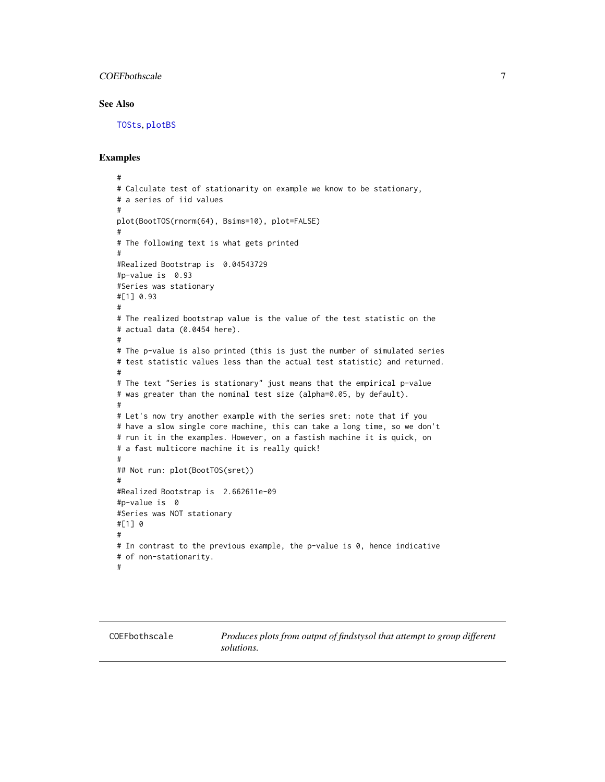## <span id="page-6-0"></span>COEFbothscale 7

## See Also

[TOSts](#page-50-1), [plotBS](#page-36-1)

```
#
# Calculate test of stationarity on example we know to be stationary,
# a series of iid values
#
plot(BootTOS(rnorm(64), Bsims=10), plot=FALSE)
#
# The following text is what gets printed
#
#Realized Bootstrap is 0.04543729
#p-value is 0.93
#Series was stationary
#[1] 0.93
#
# The realized bootstrap value is the value of the test statistic on the
# actual data (0.0454 here).
#
# The p-value is also printed (this is just the number of simulated series
# test statistic values less than the actual test statistic) and returned.
#
# The text "Series is stationary" just means that the empirical p-value
# was greater than the nominal test size (alpha=0.05, by default).
#
# Let's now try another example with the series sret: note that if you
# have a slow single core machine, this can take a long time, so we don't
# run it in the examples. However, on a fastish machine it is quick, on
# a fast multicore machine it is really quick!
#
## Not run: plot(BootTOS(sret))
#
#Realized Bootstrap is 2.662611e-09
#p-value is 0
#Series was NOT stationary
#[1] 0
#
# In contrast to the previous example, the p-value is 0, hence indicative
# of non-stationarity.
#
```
<span id="page-6-1"></span>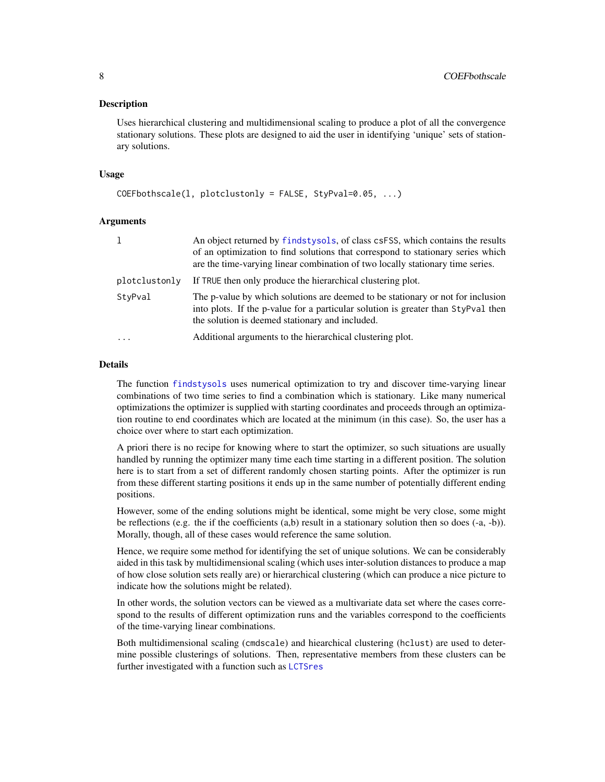#### <span id="page-7-0"></span>Description

Uses hierarchical clustering and multidimensional scaling to produce a plot of all the convergence stationary solutions. These plots are designed to aid the user in identifying 'unique' sets of stationary solutions.

#### Usage

```
COEFbothscale(l, plotclustonly = FALSE, StyPval=0.05, ...)
```
#### Arguments

| 1             | An object returned by findstysols, of class csFSS, which contains the results<br>of an optimization to find solutions that correspond to stationary series which<br>are the time-varying linear combination of two locally stationary time series. |
|---------------|----------------------------------------------------------------------------------------------------------------------------------------------------------------------------------------------------------------------------------------------------|
| plotclustonly | If TRUE then only produce the hierarchical clustering plot.                                                                                                                                                                                        |
| StyPval       | The p-value by which solutions are deemed to be stationary or not for inclusion<br>into plots. If the p-value for a particular solution is greater than StyPval then<br>the solution is deemed stationary and included.                            |
| $\cdot$       | Additional arguments to the hierarchical clustering plot.                                                                                                                                                                                          |

#### Details

The function [findstysols](#page-13-1) uses numerical optimization to try and discover time-varying linear combinations of two time series to find a combination which is stationary. Like many numerical optimizations the optimizer is supplied with starting coordinates and proceeds through an optimization routine to end coordinates which are located at the minimum (in this case). So, the user has a choice over where to start each optimization.

A priori there is no recipe for knowing where to start the optimizer, so such situations are usually handled by running the optimizer many time each time starting in a different position. The solution here is to start from a set of different randomly chosen starting points. After the optimizer is run from these different starting positions it ends up in the same number of potentially different ending positions.

However, some of the ending solutions might be identical, some might be very close, some might be reflections (e.g. the if the coefficients  $(a,b)$  result in a stationary solution then so does  $(-a, -b)$ ). Morally, though, all of these cases would reference the same solution.

Hence, we require some method for identifying the set of unique solutions. We can be considerably aided in this task by multidimensional scaling (which uses inter-solution distances to produce a map of how close solution sets really are) or hierarchical clustering (which can produce a nice picture to indicate how the solutions might be related).

In other words, the solution vectors can be viewed as a multivariate data set where the cases correspond to the results of different optimization runs and the variables correspond to the coefficients of the time-varying linear combinations.

Both multidimensional scaling (cmdscale) and hiearchical clustering (hclust) are used to determine possible clusterings of solutions. Then, representative members from these clusters can be further investigated with a function such as [LCTSres](#page-24-1)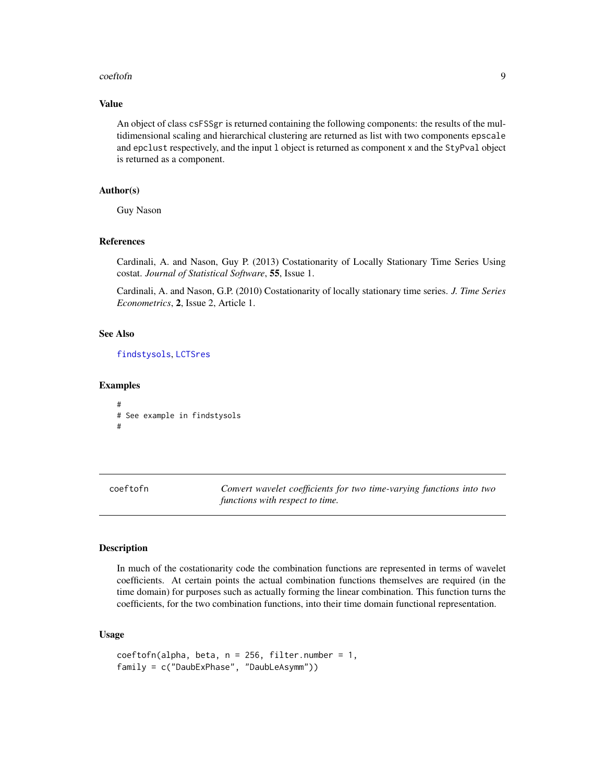#### <span id="page-8-0"></span>coeftofn 99 and 200 million and 200 million and 200 million and 200 million and 200 million and 200 million and 200 million and 200 million and 200 million and 200 million and 200 million and 200 million and 200 million an

## Value

An object of class csFSSgr is returned containing the following components: the results of the multidimensional scaling and hierarchical clustering are returned as list with two components epscale and epclust respectively, and the input l object is returned as component x and the StyPval object is returned as a component.

## Author(s)

Guy Nason

#### References

Cardinali, A. and Nason, Guy P. (2013) Costationarity of Locally Stationary Time Series Using costat. *Journal of Statistical Software*, 55, Issue 1.

Cardinali, A. and Nason, G.P. (2010) Costationarity of locally stationary time series. *J. Time Series Econometrics*, 2, Issue 2, Article 1.

## See Also

[findstysols](#page-13-1), [LCTSres](#page-24-1)

#### Examples

```
#
# See example in findstysols
#
```
<span id="page-8-1"></span>coeftofn *Convert wavelet coefficients for two time-varying functions into two functions with respect to time.*

## Description

In much of the costationarity code the combination functions are represented in terms of wavelet coefficients. At certain points the actual combination functions themselves are required (in the time domain) for purposes such as actually forming the linear combination. This function turns the coefficients, for the two combination functions, into their time domain functional representation.

## Usage

```
coeftofn(alpha, beta, n = 256, filter_number = 1,family = c("DaubExPhase", "DaubLeAsymm"))
```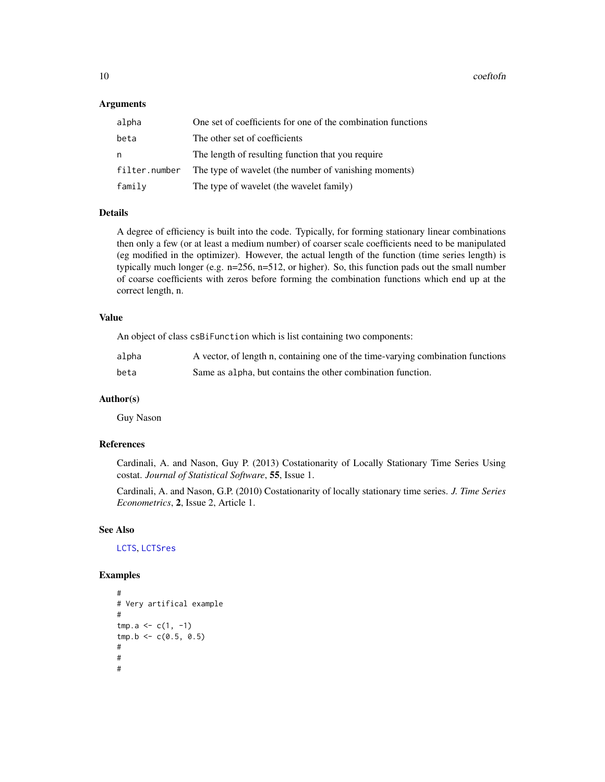<span id="page-9-0"></span>10 coeftofn

#### Arguments

| alpha         | One set of coefficients for one of the combination functions |
|---------------|--------------------------------------------------------------|
| beta          | The other set of coefficients                                |
| n             | The length of resulting function that you require            |
| filter.number | The type of wavelet (the number of vanishing moments)        |
| family        | The type of wavelet (the wavelet family)                     |

## Details

A degree of efficiency is built into the code. Typically, for forming stationary linear combinations then only a few (or at least a medium number) of coarser scale coefficients need to be manipulated (eg modified in the optimizer). However, the actual length of the function (time series length) is typically much longer (e.g. n=256, n=512, or higher). So, this function pads out the small number of coarse coefficients with zeros before forming the combination functions which end up at the correct length, n.

#### Value

An object of class csBiFunction which is list containing two components:

| alpha | A vector, of length n, containing one of the time-varying combination functions |
|-------|---------------------------------------------------------------------------------|
| beta  | Same as alpha, but contains the other combination function.                     |

#### Author(s)

Guy Nason

## References

Cardinali, A. and Nason, Guy P. (2013) Costationarity of Locally Stationary Time Series Using costat. *Journal of Statistical Software*, 55, Issue 1.

Cardinali, A. and Nason, G.P. (2010) Costationarity of locally stationary time series. *J. Time Series Econometrics*, 2, Issue 2, Article 1.

## See Also

[LCTS](#page-22-1), [LCTSres](#page-24-1)

```
#
# Very artifical example
#
tmp.a < -c(1, -1)tmp.b \leq c(0.5, 0.5)#
#
#
```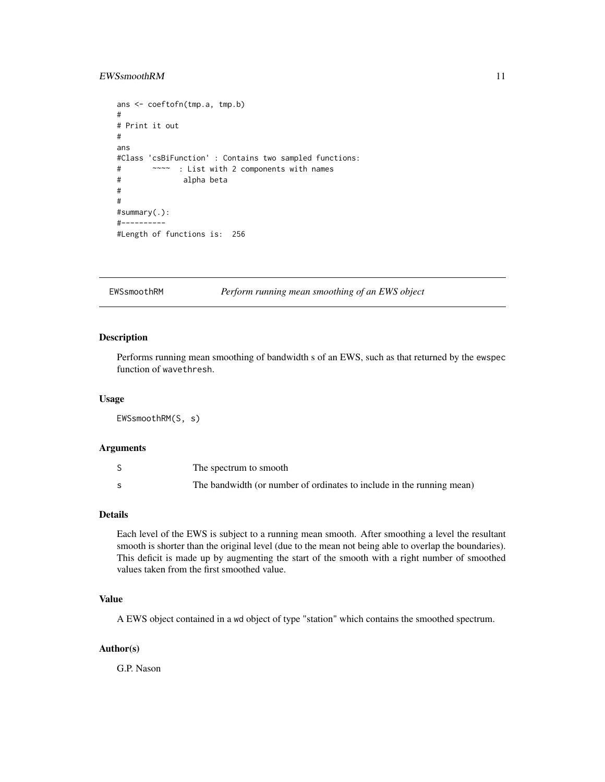## <span id="page-10-0"></span>EWSsmoothRM 11

```
ans <- coeftofn(tmp.a, tmp.b)
#
# Print it out
#
ans
#Class 'csBiFunction' : Contains two sampled functions:
# ~~~~ : List with 2 components with names
# alpha beta
#
#
#summary(.):
#----------
#Length of functions is: 256
```
EWSsmoothRM *Perform running mean smoothing of an EWS object*

## Description

Performs running mean smoothing of bandwidth s of an EWS, such as that returned by the ewspec function of wavethresh.

#### Usage

EWSsmoothRM(S, s)

#### Arguments

| The spectrum to smooth                                                |
|-----------------------------------------------------------------------|
| The bandwidth (or number of ordinates to include in the running mean) |

## Details

Each level of the EWS is subject to a running mean smooth. After smoothing a level the resultant smooth is shorter than the original level (due to the mean not being able to overlap the boundaries). This deficit is made up by augmenting the start of the smooth with a right number of smoothed values taken from the first smoothed value.

#### Value

A EWS object contained in a wd object of type "station" which contains the smoothed spectrum.

#### Author(s)

G.P. Nason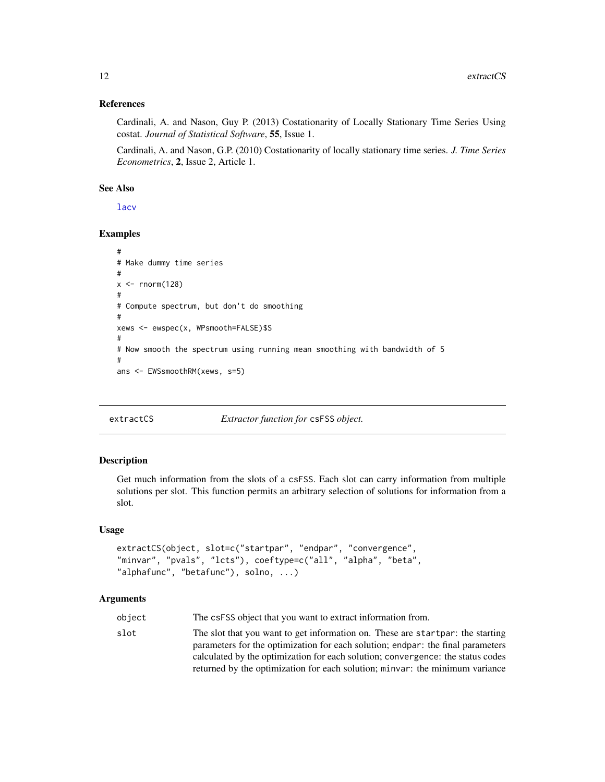#### <span id="page-11-0"></span>References

Cardinali, A. and Nason, Guy P. (2013) Costationarity of Locally Stationary Time Series Using costat. *Journal of Statistical Software*, 55, Issue 1.

Cardinali, A. and Nason, G.P. (2010) Costationarity of locally stationary time series. *J. Time Series Econometrics*, 2, Issue 2, Article 1.

## See Also

[lacv](#page-20-1)

## Examples

```
#
# Make dummy time series
#
x < - rnorm(128)
#
# Compute spectrum, but don't do smoothing
#
xews <- ewspec(x, WPsmooth=FALSE)$S
#
# Now smooth the spectrum using running mean smoothing with bandwidth of 5
#
ans <- EWSsmoothRM(xews, s=5)
```
extractCS *Extractor function for* csFSS *object.*

## Description

Get much information from the slots of a csFSS. Each slot can carry information from multiple solutions per slot. This function permits an arbitrary selection of solutions for information from a slot.

#### Usage

```
extractCS(object, slot=c("startpar", "endpar", "convergence",
"minvar", "pvals", "lcts"), coeftype=c("all", "alpha", "beta",
"alphafunc", "betafunc"), solno, ...)
```
#### Arguments

object The csFSS object that you want to extract information from.

slot The slot that you want to get information on. These are startpar: the starting parameters for the optimization for each solution; endpar: the final parameters calculated by the optimization for each solution; convergence: the status codes returned by the optimization for each solution; minvar: the minimum variance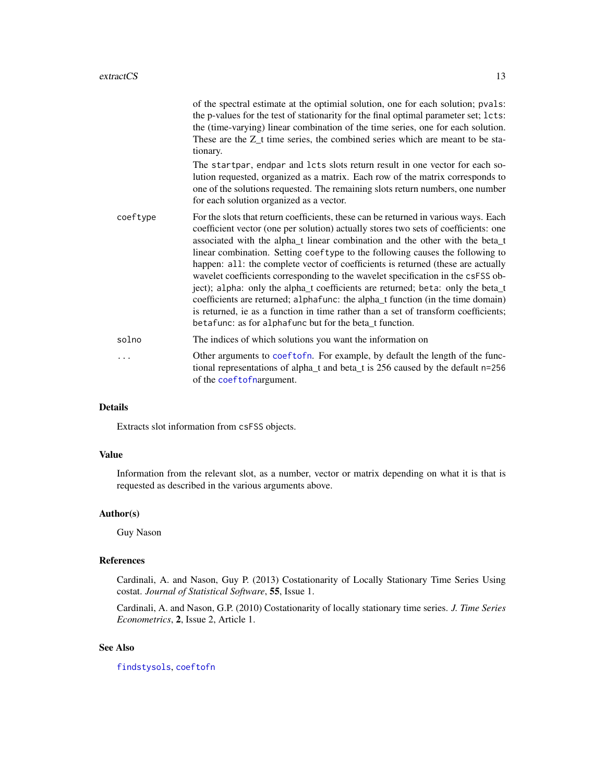<span id="page-12-0"></span>

|          | of the spectral estimate at the optimial solution, one for each solution; pvals:<br>the p-values for the test of stationarity for the final optimal parameter set; lcts:<br>the (time-varying) linear combination of the time series, one for each solution.<br>These are the Z_t time series, the combined series which are meant to be sta-<br>tionary.                                                                                                                                                                                                                                                                                                                                                                                                                                                                                  |
|----------|--------------------------------------------------------------------------------------------------------------------------------------------------------------------------------------------------------------------------------------------------------------------------------------------------------------------------------------------------------------------------------------------------------------------------------------------------------------------------------------------------------------------------------------------------------------------------------------------------------------------------------------------------------------------------------------------------------------------------------------------------------------------------------------------------------------------------------------------|
|          | The startpar, endpar and lcts slots return result in one vector for each so-<br>lution requested, organized as a matrix. Each row of the matrix corresponds to<br>one of the solutions requested. The remaining slots return numbers, one number<br>for each solution organized as a vector.                                                                                                                                                                                                                                                                                                                                                                                                                                                                                                                                               |
| coeftype | For the slots that return coefficients, these can be returned in various ways. Each<br>coefficient vector (one per solution) actually stores two sets of coefficients: one<br>associated with the alpha_t linear combination and the other with the beta_t<br>linear combination. Setting coeftype to the following causes the following to<br>happen: all: the complete vector of coefficients is returned (these are actually<br>wavelet coefficients corresponding to the wavelet specification in the csFSS ob-<br>ject); alpha: only the alpha_t coefficients are returned; beta: only the beta_t<br>coefficients are returned; alphafunc: the alpha_t function (in the time domain)<br>is returned, ie as a function in time rather than a set of transform coefficients;<br>betafunc: as for alphafunc but for the beta_t function. |
| solno    | The indices of which solutions you want the information on                                                                                                                                                                                                                                                                                                                                                                                                                                                                                                                                                                                                                                                                                                                                                                                 |
| .        | Other arguments to coef to fn. For example, by default the length of the func-<br>tional representations of alpha_t and beta_t is 256 caused by the default n=256<br>of the coef to fnargument.                                                                                                                                                                                                                                                                                                                                                                                                                                                                                                                                                                                                                                            |

## Details

Extracts slot information from csFSS objects.

#### Value

Information from the relevant slot, as a number, vector or matrix depending on what it is that is requested as described in the various arguments above.

#### Author(s)

Guy Nason

## References

Cardinali, A. and Nason, Guy P. (2013) Costationarity of Locally Stationary Time Series Using costat. *Journal of Statistical Software*, 55, Issue 1.

Cardinali, A. and Nason, G.P. (2010) Costationarity of locally stationary time series. *J. Time Series Econometrics*, 2, Issue 2, Article 1.

## See Also

[findstysols](#page-13-1), [coeftofn](#page-8-1)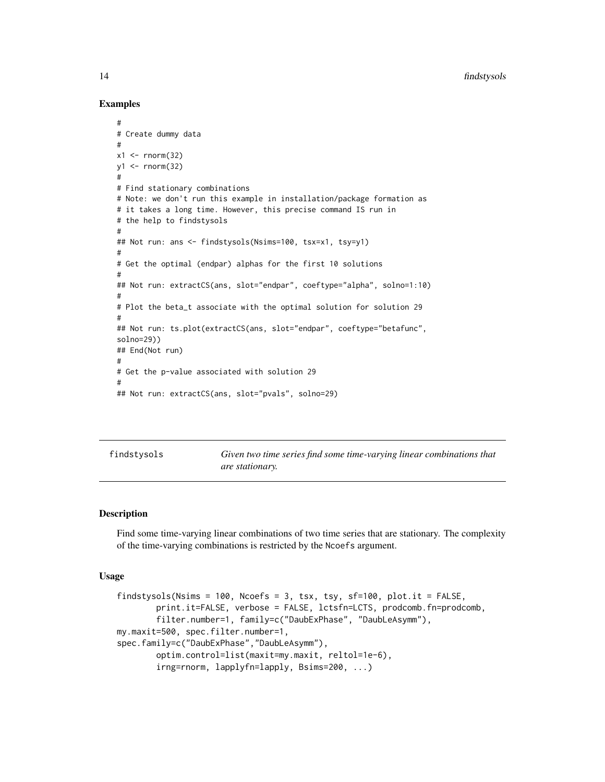#### Examples

```
#
# Create dummy data
#
x1 \leftarrow \text{rnorm}(32)y1 <- rnorm(32)
#
# Find stationary combinations
# Note: we don't run this example in installation/package formation as
# it takes a long time. However, this precise command IS run in
# the help to findstysols
#
## Not run: ans <- findstysols(Nsims=100, tsx=x1, tsy=y1)
#
# Get the optimal (endpar) alphas for the first 10 solutions
#
## Not run: extractCS(ans, slot="endpar", coeftype="alpha", solno=1:10)
#
# Plot the beta_t associate with the optimal solution for solution 29
#
## Not run: ts.plot(extractCS(ans, slot="endpar", coeftype="betafunc",
solno=29))
## End(Not run)
#
# Get the p-value associated with solution 29
#
## Not run: extractCS(ans, slot="pvals", solno=29)
```
<span id="page-13-1"></span>

| findstysols |  |
|-------------|--|
|-------------|--|

Given two time series find some time-varying linear combinations that *are stationary.*

## Description

Find some time-varying linear combinations of two time series that are stationary. The complexity of the time-varying combinations is restricted by the Ncoefs argument.

#### Usage

```
findstysols(Nsims = 100, Ncoefs = 3, tsx, tsy, sf=100, plot.it = FALSE,
       print.it=FALSE, verbose = FALSE, lctsfn=LCTS, prodcomb.fn=prodcomb,
       filter.number=1, family=c("DaubExPhase", "DaubLeAsymm"),
my.maxit=500, spec.filter.number=1,
spec.family=c("DaubExPhase","DaubLeAsymm"),
       optim.control=list(maxit=my.maxit, reltol=1e-6),
        irng=rnorm, lapplyfn=lapply, Bsims=200, ...)
```
<span id="page-13-0"></span>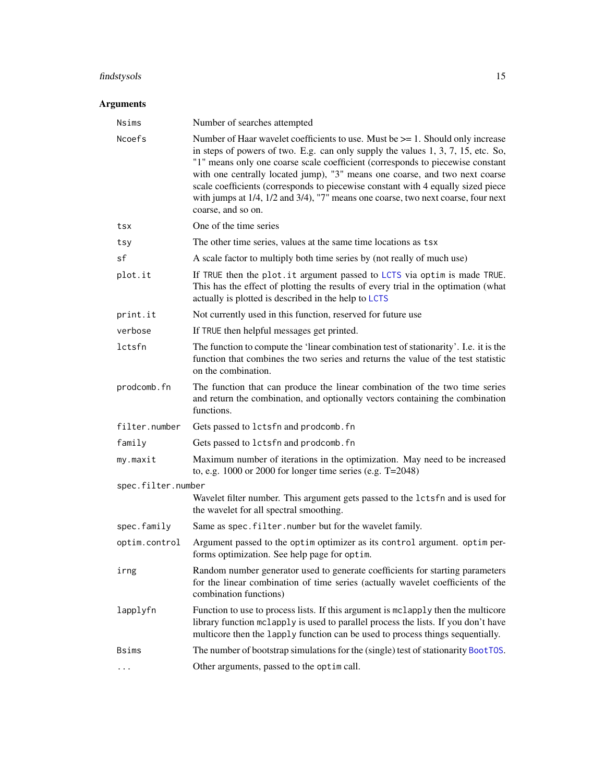## <span id="page-14-0"></span>findstysols 15

| Nsims              | Number of searches attempted                                                                                                                                                                                                                                                                                                                                                                                                                                                                                                           |
|--------------------|----------------------------------------------------------------------------------------------------------------------------------------------------------------------------------------------------------------------------------------------------------------------------------------------------------------------------------------------------------------------------------------------------------------------------------------------------------------------------------------------------------------------------------------|
| Ncoefs             | Number of Haar wavelet coefficients to use. Must be $\geq$ 1. Should only increase<br>in steps of powers of two. E.g. can only supply the values 1, 3, 7, 15, etc. So,<br>"1" means only one coarse scale coefficient (corresponds to piecewise constant<br>with one centrally located jump), "3" means one coarse, and two next coarse<br>scale coefficients (corresponds to piecewise constant with 4 equally sized piece<br>with jumps at 1/4, 1/2 and 3/4), "7" means one coarse, two next coarse, four next<br>coarse, and so on. |
| tsx                | One of the time series                                                                                                                                                                                                                                                                                                                                                                                                                                                                                                                 |
| tsy                | The other time series, values at the same time locations as tsx                                                                                                                                                                                                                                                                                                                                                                                                                                                                        |
| sf                 | A scale factor to multiply both time series by (not really of much use)                                                                                                                                                                                                                                                                                                                                                                                                                                                                |
| plot.it            | If TRUE then the plot.it argument passed to LCTS via optim is made TRUE.<br>This has the effect of plotting the results of every trial in the optimation (what<br>actually is plotted is described in the help to LCTS                                                                                                                                                                                                                                                                                                                 |
| print.it           | Not currently used in this function, reserved for future use                                                                                                                                                                                                                                                                                                                                                                                                                                                                           |
| verbose            | If TRUE then helpful messages get printed.                                                                                                                                                                                                                                                                                                                                                                                                                                                                                             |
| lctsfn             | The function to compute the 'linear combination test of stationarity'. I.e. it is the<br>function that combines the two series and returns the value of the test statistic<br>on the combination.                                                                                                                                                                                                                                                                                                                                      |
| prodcomb.fn        | The function that can produce the linear combination of the two time series<br>and return the combination, and optionally vectors containing the combination<br>functions.                                                                                                                                                                                                                                                                                                                                                             |
| filter.number      | Gets passed to lctsfn and prodcomb. fn                                                                                                                                                                                                                                                                                                                                                                                                                                                                                                 |
| family             | Gets passed to lctsfn and prodcomb. fn                                                                                                                                                                                                                                                                                                                                                                                                                                                                                                 |
| my.maxit           | Maximum number of iterations in the optimization. May need to be increased<br>to, e.g. $1000$ or $2000$ for longer time series (e.g. T= $2048$ )                                                                                                                                                                                                                                                                                                                                                                                       |
| spec.filter.number |                                                                                                                                                                                                                                                                                                                                                                                                                                                                                                                                        |
|                    | Wavelet filter number. This argument gets passed to the lcts fn and is used for<br>the wavelet for all spectral smoothing.                                                                                                                                                                                                                                                                                                                                                                                                             |
| spec.family        | Same as spec. filter. number but for the wavelet family.                                                                                                                                                                                                                                                                                                                                                                                                                                                                               |
| optim.control      | Argument passed to the optim optimizer as its control argument. optim per-<br>forms optimization. See help page for optim.                                                                                                                                                                                                                                                                                                                                                                                                             |
| irng               | Random number generator used to generate coefficients for starting parameters<br>for the linear combination of time series (actually wavelet coefficients of the<br>combination functions)                                                                                                                                                                                                                                                                                                                                             |
| lapplyfn           | Function to use to process lists. If this argument is mclapply then the multicore<br>library function mclapply is used to parallel process the lists. If you don't have<br>multicore then the lapply function can be used to process things sequentially.                                                                                                                                                                                                                                                                              |
| Bsims              | The number of bootstrap simulations for the (single) test of stationarity BootTOS.                                                                                                                                                                                                                                                                                                                                                                                                                                                     |
| $\cdots$           | Other arguments, passed to the optim call.                                                                                                                                                                                                                                                                                                                                                                                                                                                                                             |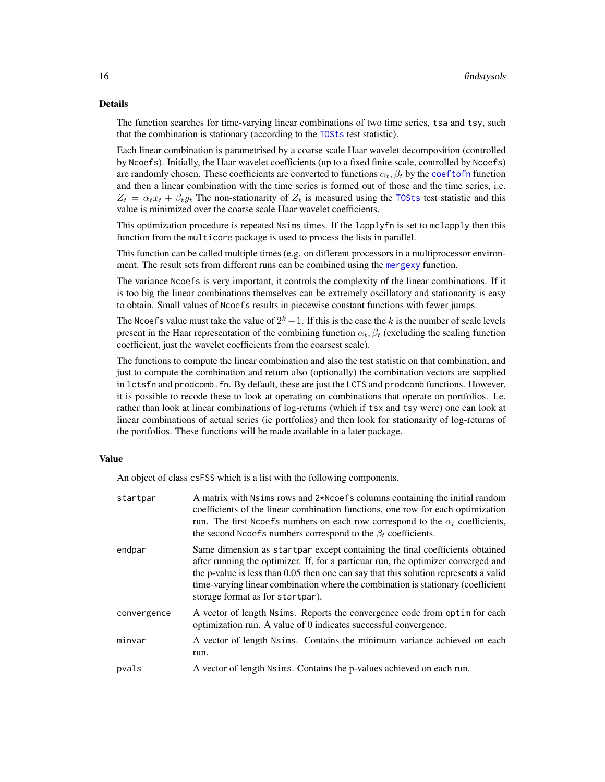#### <span id="page-15-0"></span>Details

The function searches for time-varying linear combinations of two time series, tsa and tsy, such that the combination is stationary (according to the [TOSts](#page-50-1) test statistic).

Each linear combination is parametrised by a coarse scale Haar wavelet decomposition (controlled by Ncoefs). Initially, the Haar wavelet coefficients (up to a fixed finite scale, controlled by Ncoefs) are randomly chosen. These coefficients are converted to functions  $\alpha_t$ ,  $\beta_t$  by the [coeftofn](#page-8-1) function and then a linear combination with the time series is formed out of those and the time series, i.e.  $Z_t = \alpha_t x_t + \beta_t y_t$  The non-stationarity of  $Z_t$  is measured using the [TOSts](#page-50-1) test statistic and this value is minimized over the coarse scale Haar wavelet coefficients.

This optimization procedure is repeated Nsims times. If the lapplyfn is set to mclapply then this function from the multicore package is used to process the lists in parallel.

This function can be called multiple times (e.g. on different processors in a multiprocessor environment. The result sets from different runs can be combined using the [mergexy](#page-28-1) function.

The variance Ncoefs is very important, it controls the complexity of the linear combinations. If it is too big the linear combinations themselves can be extremely oscillatory and stationarity is easy to obtain. Small values of Ncoefs results in piecewise constant functions with fewer jumps.

The Ncoefs value must take the value of  $2^k - 1$ . If this is the case the k is the number of scale levels present in the Haar representation of the combining function  $\alpha_t$ ,  $\beta_t$  (excluding the scaling function coefficient, just the wavelet coefficients from the coarsest scale).

The functions to compute the linear combination and also the test statistic on that combination, and just to compute the combination and return also (optionally) the combination vectors are supplied in lctsfn and prodcomb.fn. By default, these are just the LCTS and prodcomb functions. However, it is possible to recode these to look at operating on combinations that operate on portfolios. I.e. rather than look at linear combinations of log-returns (which if tsx and tsy were) one can look at linear combinations of actual series (ie portfolios) and then look for stationarity of log-returns of the portfolios. These functions will be made available in a later package.

#### Value

An object of class csFSS which is a list with the following components.

| startpar    | A matrix with Nsims rows and 2*Ncoefs columns containing the initial random<br>coefficients of the linear combination functions, one row for each optimization<br>run. The first Ncoefs numbers on each row correspond to the $\alpha_t$ coefficients,<br>the second Ncoefs numbers correspond to the $\beta_t$ coefficients.                                                     |
|-------------|-----------------------------------------------------------------------------------------------------------------------------------------------------------------------------------------------------------------------------------------------------------------------------------------------------------------------------------------------------------------------------------|
| endpar      | Same dimension as startpar except containing the final coefficients obtained<br>after running the optimizer. If, for a particuar run, the optimizer converged and<br>the p-value is less than 0.05 then one can say that this solution represents a valid<br>time-varying linear combination where the combination is stationary (coefficient<br>storage format as for startpar). |
| convergence | A vector of length Nsims. Reports the convergence code from optim for each<br>optimization run. A value of 0 indicates successful convergence.                                                                                                                                                                                                                                    |
| minvar      | A vector of length Nsims. Contains the minimum variance achieved on each<br>run.                                                                                                                                                                                                                                                                                                  |
| pvals       | A vector of length Nsims. Contains the p-values achieved on each run.                                                                                                                                                                                                                                                                                                             |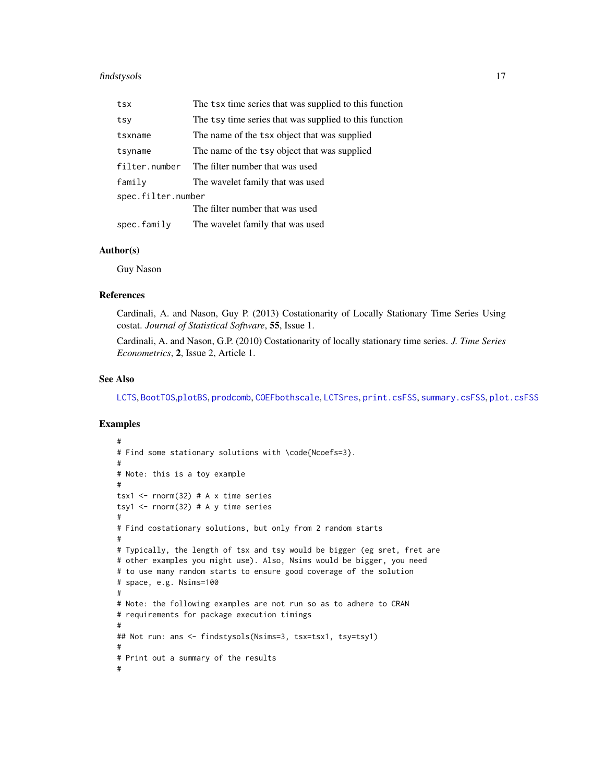#### <span id="page-16-0"></span>findstysols 17

| tsx                | The tsx time series that was supplied to this function |
|--------------------|--------------------------------------------------------|
| tsy                | The tsy time series that was supplied to this function |
| tsxname            | The name of the tsx object that was supplied           |
| tsyname            | The name of the tsy object that was supplied           |
| filter.number      | The filter number that was used                        |
| family             | The wavelet family that was used                       |
| spec.filter.number |                                                        |
|                    | The filter number that was used                        |
| spec.family        | The wavelet family that was used                       |

## Author(s)

Guy Nason

#### References

Cardinali, A. and Nason, Guy P. (2013) Costationarity of Locally Stationary Time Series Using costat. *Journal of Statistical Software*, 55, Issue 1.

Cardinali, A. and Nason, G.P. (2010) Costationarity of locally stationary time series. *J. Time Series Econometrics*, 2, Issue 2, Article 1.

#### See Also

[LCTS](#page-22-1), [BootTOS](#page-4-1),[plotBS](#page-36-1), [prodcomb](#page-42-1), [COEFbothscale](#page-6-1), [LCTSres](#page-24-1), [print.csFSS](#page-39-1), [summary.csFSS](#page-47-1), [plot.csFSS](#page-31-1)

```
#
# Find some stationary solutions with \code{Ncoefs=3}.
#
# Note: this is a toy example
#
tsx1 \le rnorm(32) # A x time series
tsy1 \leftarrow rnorm(32) # A y time series
#
# Find costationary solutions, but only from 2 random starts
#
# Typically, the length of tsx and tsy would be bigger (eg sret, fret are
# other examples you might use). Also, Nsims would be bigger, you need
# to use many random starts to ensure good coverage of the solution
# space, e.g. Nsims=100
#
# Note: the following examples are not run so as to adhere to CRAN
# requirements for package execution timings
#
## Not run: ans <- findstysols(Nsims=3, tsx=tsx1, tsy=tsy1)
#
# Print out a summary of the results
#
```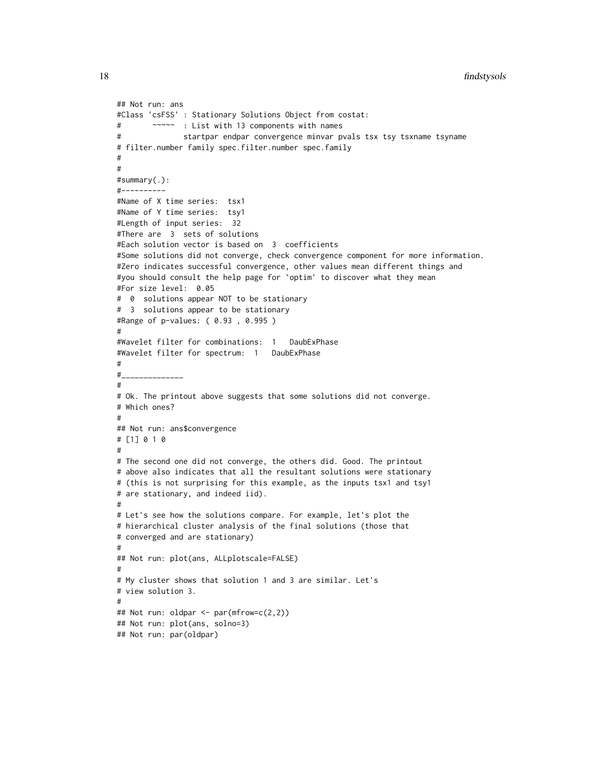```
## Not run: ans
#Class 'csFSS' : Stationary Solutions Object from costat:
# ~~~~~ : List with 13 components with names
# startpar endpar convergence minvar pvals tsx tsy tsxname tsyname
# filter.number family spec.filter.number spec.family
#
#
#summary(.):
#----------
#Name of X time series: tsx1
#Name of Y time series: tsy1
#Length of input series: 32
#There are 3 sets of solutions
#Each solution vector is based on 3 coefficients
#Some solutions did not converge, check convergence component for more information.
#Zero indicates successful convergence, other values mean different things and
#you should consult the help page for `optim' to discover what they mean
#For size level: 0.05
# 0 solutions appear NOT to be stationary
# 3 solutions appear to be stationary
#Range of p-values: ( 0.93 , 0.995 )
#
#Wavelet filter for combinations: 1 DaubExPhase
#Wavelet filter for spectrum: 1 DaubExPhase
#
#______________
#
# Ok. The printout above suggests that some solutions did not converge.
# Which ones?
#
## Not run: ans$convergence
# [1] 0 1 0
#
# The second one did not converge, the others did. Good. The printout
# above also indicates that all the resultant solutions were stationary
# (this is not surprising for this example, as the inputs tsx1 and tsy1
# are stationary, and indeed iid).
#
# Let's see how the solutions compare. For example, let's plot the
# hierarchical cluster analysis of the final solutions (those that
# converged and are stationary)
#
## Not run: plot(ans, ALLplotscale=FALSE)
#
# My cluster shows that solution 1 and 3 are similar. Let's
# view solution 3.
#
## Not run: oldpar <- par(mfrow=c(2,2))
## Not run: plot(ans, solno=3)
## Not run: par(oldpar)
```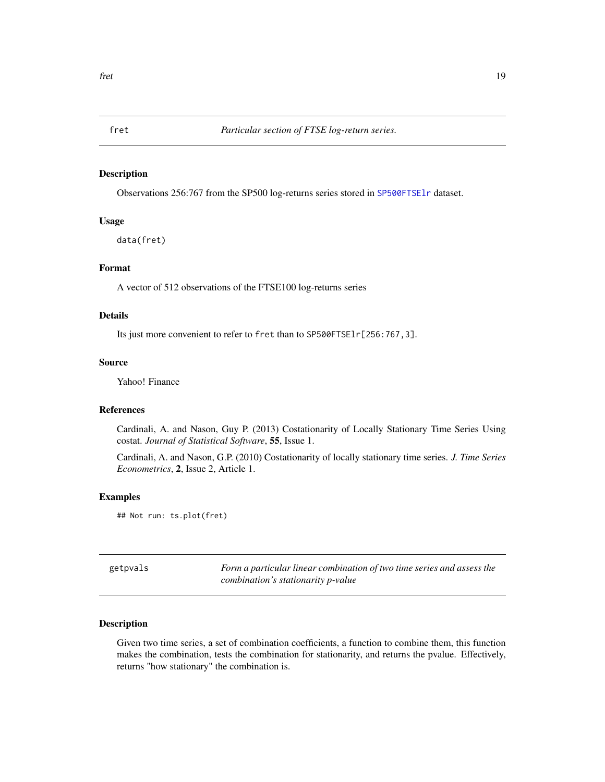<span id="page-18-0"></span>

## Description

Observations 256:767 from the SP500 log-returns series stored in [SP500FTSElr](#page-44-1) dataset.

## Usage

data(fret)

## Format

A vector of 512 observations of the FTSE100 log-returns series

#### Details

Its just more convenient to refer to fret than to SP500FTSElr[256:767,3].

#### Source

Yahoo! Finance

#### References

Cardinali, A. and Nason, Guy P. (2013) Costationarity of Locally Stationary Time Series Using costat. *Journal of Statistical Software*, 55, Issue 1.

Cardinali, A. and Nason, G.P. (2010) Costationarity of locally stationary time series. *J. Time Series Econometrics*, 2, Issue 2, Article 1.

#### Examples

## Not run: ts.plot(fret)

<span id="page-18-1"></span>getpvals *Form a particular linear combination of two time series and assess the combination's stationarity p-value*

## Description

Given two time series, a set of combination coefficients, a function to combine them, this function makes the combination, tests the combination for stationarity, and returns the pvalue. Effectively, returns "how stationary" the combination is.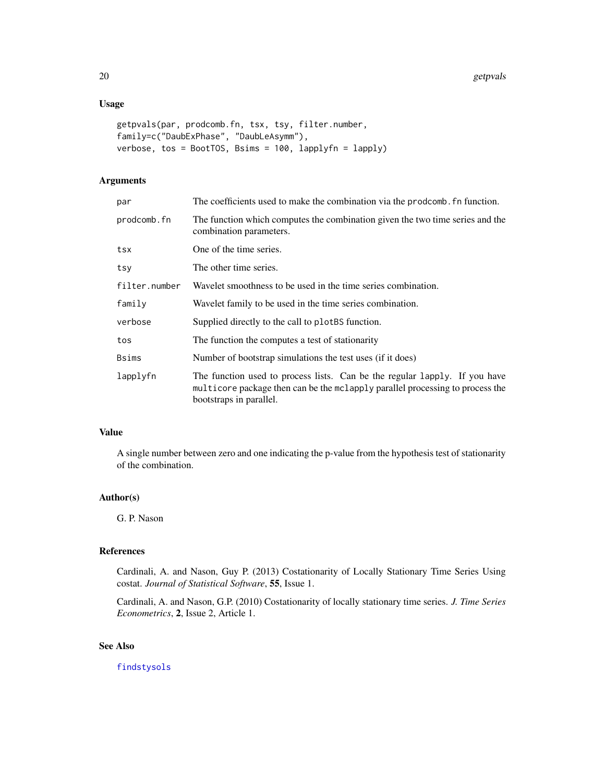## <span id="page-19-0"></span>Usage

```
getpvals(par, prodcomb.fn, tsx, tsy, filter.number,
family=c("DaubExPhase", "DaubLeAsymm"),
verbose, tos = BootTOS, Bsims = 100, lapplyfn = lapply)
```
## Arguments

| par           | The coefficients used to make the combination via the prodcomb. Fn function.                                                                                                           |  |
|---------------|----------------------------------------------------------------------------------------------------------------------------------------------------------------------------------------|--|
| prodcomb.fn   | The function which computes the combination given the two time series and the<br>combination parameters.                                                                               |  |
| tsx           | One of the time series.                                                                                                                                                                |  |
| tsy           | The other time series.                                                                                                                                                                 |  |
| filter.number | Wavelet smoothness to be used in the time series combination.                                                                                                                          |  |
| family        | Wavelet family to be used in the time series combination.                                                                                                                              |  |
| verbose       | Supplied directly to the call to plotes function.                                                                                                                                      |  |
| tos           | The function the computes a test of stationarity                                                                                                                                       |  |
| Bsims         | Number of bootstrap simulations the test uses (if it does)                                                                                                                             |  |
| lapplyfn      | The function used to process lists. Can be the regular lapply. If you have<br>multicore package then can be the mclapply parallel processing to process the<br>bootstraps in parallel. |  |

#### Value

A single number between zero and one indicating the p-value from the hypothesis test of stationarity of the combination.

#### Author(s)

G. P. Nason

## References

Cardinali, A. and Nason, Guy P. (2013) Costationarity of Locally Stationary Time Series Using costat. *Journal of Statistical Software*, 55, Issue 1.

Cardinali, A. and Nason, G.P. (2010) Costationarity of locally stationary time series. *J. Time Series Econometrics*, 2, Issue 2, Article 1.

## See Also

[findstysols](#page-13-1)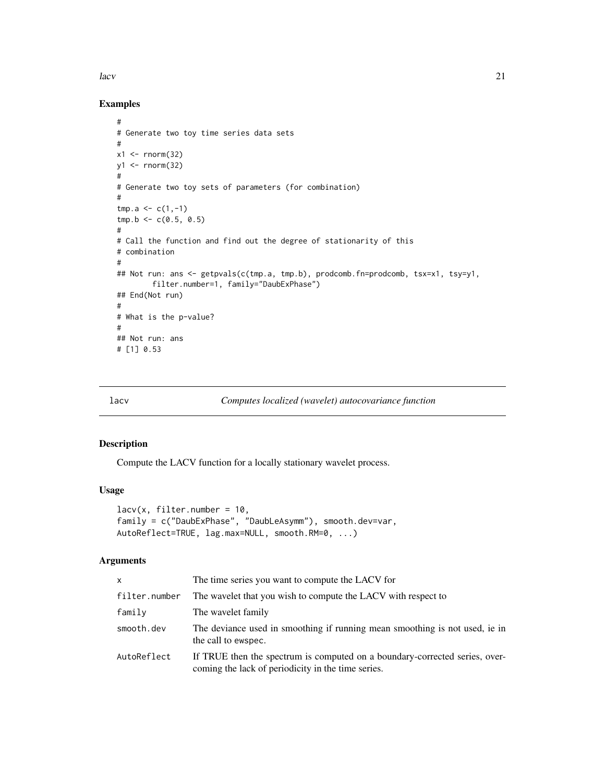<span id="page-20-0"></span> $l$ acv 21

## Examples

```
#
# Generate two toy time series data sets
#
x1 \leftarrow \text{norm}(32)y1 <- rnorm(32)
#
# Generate two toy sets of parameters (for combination)
#
tmp.a < -c(1,-1)tmp.b \leq c(0.5, 0.5)#
# Call the function and find out the degree of stationarity of this
# combination
#
## Not run: ans <- getpvals(c(tmp.a, tmp.b), prodcomb.fn=prodcomb, tsx=x1, tsy=y1,
        filter.number=1, family="DaubExPhase")
## End(Not run)
#
# What is the p-value?
#
## Not run: ans
# [1] 0.53
```
<span id="page-20-1"></span>

lacv *Computes localized (wavelet) autocovariance function*

## Description

Compute the LACV function for a locally stationary wavelet process.

## Usage

```
lacy(x, filter_number = 10,family = c("DaubExPhase", "DaubLeAsymm"), smooth.dev=var,
AutoReflect=TRUE, lag.max=NULL, smooth.RM=0, ...)
```

| X.            | The time series you want to compute the LACV for                                                                                  |
|---------------|-----------------------------------------------------------------------------------------------------------------------------------|
| filter.number | The wavelet that you wish to compute the LACV with respect to                                                                     |
| family        | The wavelet family                                                                                                                |
| smooth.dev    | The deviance used in smoothing if running mean smoothing is not used, ie in<br>the call to ewspec.                                |
| AutoReflect   | If TRUE then the spectrum is computed on a boundary-corrected series, over-<br>coming the lack of periodicity in the time series. |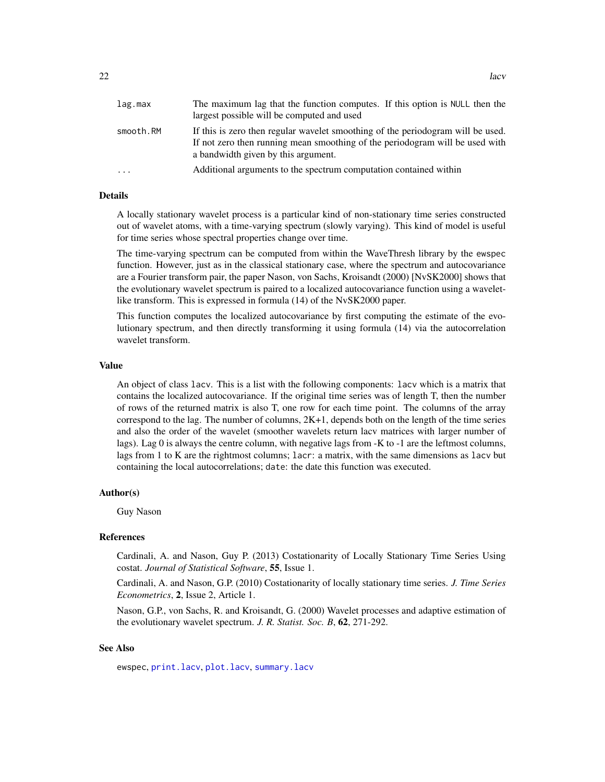<span id="page-21-0"></span>

| lag.max   | The maximum lag that the function computes. If this option is NULL then the<br>largest possible will be computed and used                                                                              |
|-----------|--------------------------------------------------------------------------------------------------------------------------------------------------------------------------------------------------------|
| smooth.RM | If this is zero then regular wavelet smoothing of the periodogram will be used.<br>If not zero then running mean smoothing of the periodogram will be used with<br>a bandwidth given by this argument. |
| $\ddotsc$ | Additional arguments to the spectrum computation contained within                                                                                                                                      |

## Details

A locally stationary wavelet process is a particular kind of non-stationary time series constructed out of wavelet atoms, with a time-varying spectrum (slowly varying). This kind of model is useful for time series whose spectral properties change over time.

The time-varying spectrum can be computed from within the WaveThresh library by the ewspec function. However, just as in the classical stationary case, where the spectrum and autocovariance are a Fourier transform pair, the paper Nason, von Sachs, Kroisandt (2000) [NvSK2000] shows that the evolutionary wavelet spectrum is paired to a localized autocovariance function using a waveletlike transform. This is expressed in formula (14) of the NvSK2000 paper.

This function computes the localized autocovariance by first computing the estimate of the evolutionary spectrum, and then directly transforming it using formula (14) via the autocorrelation wavelet transform.

#### Value

An object of class lacv. This is a list with the following components: lacv which is a matrix that contains the localized autocovariance. If the original time series was of length T, then the number of rows of the returned matrix is also T, one row for each time point. The columns of the array correspond to the lag. The number of columns, 2K+1, depends both on the length of the time series and also the order of the wavelet (smoother wavelets return lacv matrices with larger number of lags). Lag 0 is always the centre column, with negative lags from -K to -1 are the leftmost columns, lags from 1 to K are the rightmost columns; lacr: a matrix, with the same dimensions as lacv but containing the local autocorrelations; date: the date this function was executed.

#### Author(s)

Guy Nason

#### References

Cardinali, A. and Nason, Guy P. (2013) Costationarity of Locally Stationary Time Series Using costat. *Journal of Statistical Software*, 55, Issue 1.

Cardinali, A. and Nason, G.P. (2010) Costationarity of locally stationary time series. *J. Time Series Econometrics*, 2, Issue 2, Article 1.

Nason, G.P., von Sachs, R. and Kroisandt, G. (2000) Wavelet processes and adaptive estimation of the evolutionary wavelet spectrum. *J. R. Statist. Soc. B*, 62, 271-292.

#### See Also

ewspec, [print.lacv](#page-41-1), [plot.lacv](#page-34-1), [summary.lacv](#page-49-1)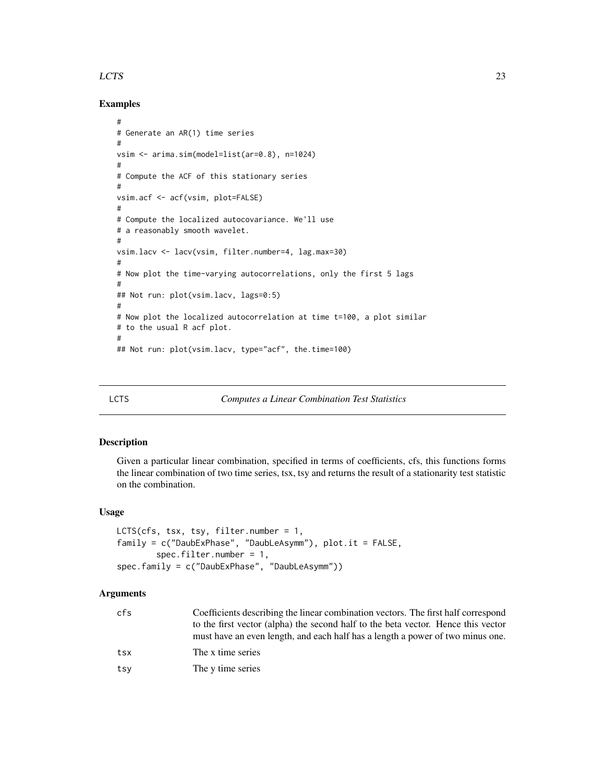## <span id="page-22-0"></span> $LCTS$  23

## Examples

```
#
# Generate an AR(1) time series
#
vsim <- arima.sim(model=list(ar=0.8), n=1024)
#
# Compute the ACF of this stationary series
#
vsim.acf <- acf(vsim, plot=FALSE)
#
# Compute the localized autocovariance. We'll use
# a reasonably smooth wavelet.
#
vsim.lacv <- lacv(vsim, filter.number=4, lag.max=30)
#
# Now plot the time-varying autocorrelations, only the first 5 lags
#
## Not run: plot(vsim.lacv, lags=0:5)
#
# Now plot the localized autocorrelation at time t=100, a plot similar
# to the usual R acf plot.
#
## Not run: plot(vsim.lacv, type="acf", the.time=100)
```
#### <span id="page-22-1"></span>LCTS *Computes a Linear Combination Test Statistics*

#### Description

Given a particular linear combination, specified in terms of coefficients, cfs, this functions forms the linear combination of two time series, tsx, tsy and returns the result of a stationarity test statistic on the combination.

#### Usage

```
LCTS(cfs, tsx, tsy, filter.number = 1,
family = c("DaubExPhase", "DaubLeAsymm"), plot.it = FALSE,
        spec.filter.number = 1,
spec.family = c("DaubExPhase", "DaubLeAsymm"))
```

| cfs | Coefficients describing the linear combination vectors. The first half correspond<br>to the first vector (alpha) the second half to the beta vector. Hence this vector<br>must have an even length, and each half has a length a power of two minus one. |
|-----|----------------------------------------------------------------------------------------------------------------------------------------------------------------------------------------------------------------------------------------------------------|
| tsx | The x time series                                                                                                                                                                                                                                        |
| tsy | The y time series                                                                                                                                                                                                                                        |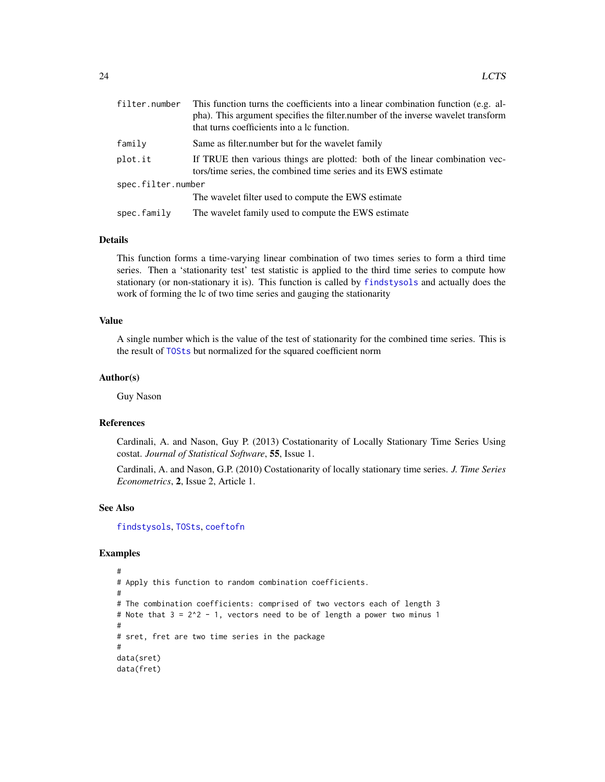<span id="page-23-0"></span>

| filter.number      | This function turns the coefficients into a linear combination function (e.g. al-<br>pha). This argument specifies the filter number of the inverse wavelet transform<br>that turns coefficients into a lc function. |
|--------------------|----------------------------------------------------------------------------------------------------------------------------------------------------------------------------------------------------------------------|
| family             | Same as filter number but for the wavelet family                                                                                                                                                                     |
| plot.it            | If TRUE then various things are plotted: both of the linear combination vec-<br>tors/time series, the combined time series and its EWS estimate                                                                      |
| spec.filter.number |                                                                                                                                                                                                                      |
|                    | The wavelet filter used to compute the EWS estimate                                                                                                                                                                  |
| spec.family        | The wavelet family used to compute the EWS estimate                                                                                                                                                                  |

## Details

This function forms a time-varying linear combination of two times series to form a third time series. Then a 'stationarity test' test statistic is applied to the third time series to compute how stationary (or non-stationary it is). This function is called by [findstysols](#page-13-1) and actually does the work of forming the lc of two time series and gauging the stationarity

## Value

A single number which is the value of the test of stationarity for the combined time series. This is the result of [TOSts](#page-50-1) but normalized for the squared coefficient norm

#### Author(s)

Guy Nason

## References

Cardinali, A. and Nason, Guy P. (2013) Costationarity of Locally Stationary Time Series Using costat. *Journal of Statistical Software*, 55, Issue 1.

Cardinali, A. and Nason, G.P. (2010) Costationarity of locally stationary time series. *J. Time Series Econometrics*, 2, Issue 2, Article 1.

## See Also

[findstysols](#page-13-1), [TOSts](#page-50-1), [coeftofn](#page-8-1)

```
#
# Apply this function to random combination coefficients.
#
# The combination coefficients: comprised of two vectors each of length 3
# Note that 3 = 2^2 - 1, vectors need to be of length a power two minus 1
#
# sret, fret are two time series in the package
#
data(sret)
data(fret)
```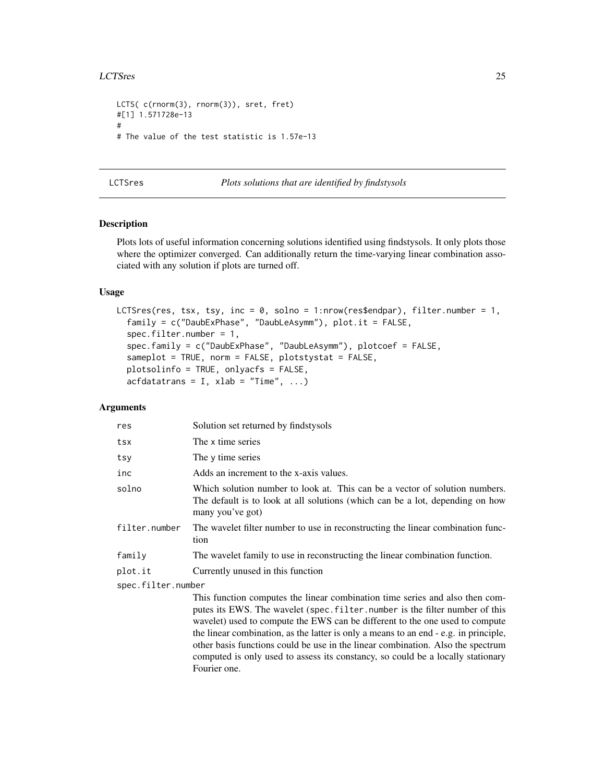#### <span id="page-24-0"></span>**LCTSres** 25

```
LCTS( c(rnorm(3), rnorm(3)), sret, fret)
#[1] 1.571728e-13
#
# The value of the test statistic is 1.57e-13
```
<span id="page-24-1"></span>LCTSres *Plots solutions that are identified by findstysols*

## Description

Plots lots of useful information concerning solutions identified using findstysols. It only plots those where the optimizer converged. Can additionally return the time-varying linear combination associated with any solution if plots are turned off.

## Usage

```
LCTSres(res, tsx, tsy, inc = 0, solno = 1:nrow(res$endpar), filter.number = 1,
  family = c("DaubExPhase", "DaubLeAsymm"), plot.it = FALSE,
  spec.filter.number = 1,
  spec.family = c("DaubExPhase", "DaubLeAsymm"), plotcoef = FALSE,
  sameplot = TRUE, norm = FALSE, plotstystat = FALSE,
  plotsolinfo = TRUE, onlyacfs = FALSE,
  \text{a}cfdatatrans = I, xlab = "Time", ...)
```

| res                | Solution set returned by findstysols                                                                                                                                                                                                                                                                                                                                                                                                                                                                                      |  |
|--------------------|---------------------------------------------------------------------------------------------------------------------------------------------------------------------------------------------------------------------------------------------------------------------------------------------------------------------------------------------------------------------------------------------------------------------------------------------------------------------------------------------------------------------------|--|
| tsx                | The x time series                                                                                                                                                                                                                                                                                                                                                                                                                                                                                                         |  |
| tsy                | The y time series                                                                                                                                                                                                                                                                                                                                                                                                                                                                                                         |  |
| inc                | Adds an increment to the x-axis values.                                                                                                                                                                                                                                                                                                                                                                                                                                                                                   |  |
| solno              | Which solution number to look at. This can be a vector of solution numbers.<br>The default is to look at all solutions (which can be a lot, depending on how<br>many you've got)                                                                                                                                                                                                                                                                                                                                          |  |
| filter.number      | The wavelet filter number to use in reconstructing the linear combination func-<br>tion                                                                                                                                                                                                                                                                                                                                                                                                                                   |  |
| family             | The wavelet family to use in reconstructing the linear combination function.                                                                                                                                                                                                                                                                                                                                                                                                                                              |  |
| plot.it            | Currently unused in this function                                                                                                                                                                                                                                                                                                                                                                                                                                                                                         |  |
| spec.filter.number |                                                                                                                                                                                                                                                                                                                                                                                                                                                                                                                           |  |
|                    | This function computes the linear combination time series and also then com-<br>putes its EWS. The wavelet (spec.filter.number is the filter number of this<br>wavelet) used to compute the EWS can be different to the one used to compute<br>the linear combination, as the latter is only a means to an end - e.g. in principle,<br>other basis functions could be use in the linear combination. Also the spectrum<br>computed is only used to assess its constancy, so could be a locally stationary<br>Fourier one. |  |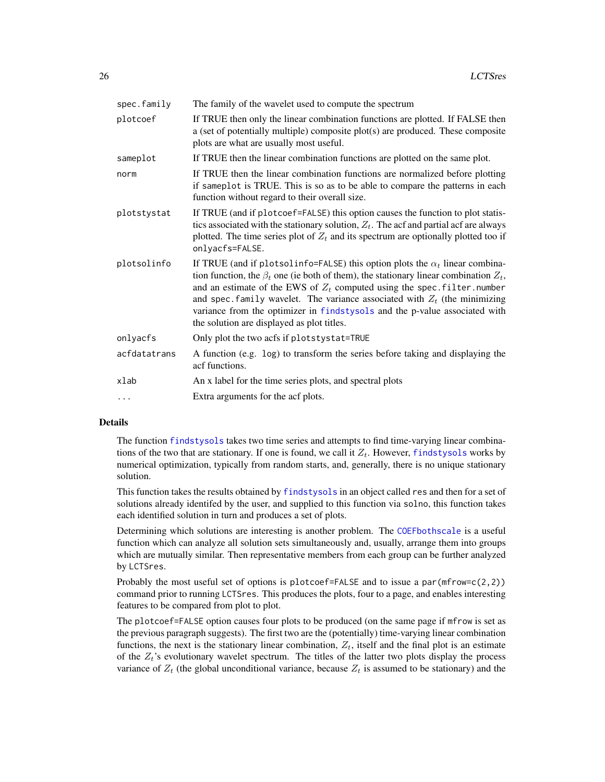<span id="page-25-0"></span>

| spec.family  | The family of the wavelet used to compute the spectrum                                                                                                                                                                                                                                                                                                                                                                                                                          |
|--------------|---------------------------------------------------------------------------------------------------------------------------------------------------------------------------------------------------------------------------------------------------------------------------------------------------------------------------------------------------------------------------------------------------------------------------------------------------------------------------------|
| plotcoef     | If TRUE then only the linear combination functions are plotted. If FALSE then<br>a (set of potentially multiple) composite plot(s) are produced. These composite<br>plots are what are usually most useful.                                                                                                                                                                                                                                                                     |
| sameplot     | If TRUE then the linear combination functions are plotted on the same plot.                                                                                                                                                                                                                                                                                                                                                                                                     |
| norm         | If TRUE then the linear combination functions are normalized before plotting<br>if sameplot is TRUE. This is so as to be able to compare the patterns in each<br>function without regard to their overall size.                                                                                                                                                                                                                                                                 |
| plotstystat  | If TRUE (and if plotcoef=FALSE) this option causes the function to plot statis-<br>tics associated with the stationary solution, $Z_t$ . The acf and partial acf are always<br>plotted. The time series plot of $Z_t$ and its spectrum are optionally plotted too if<br>onlyacfs=FALSE.                                                                                                                                                                                         |
| plotsolinfo  | If TRUE (and if plotsolinfo=FALSE) this option plots the $\alpha_t$ linear combina-<br>tion function, the $\beta_t$ one (ie both of them), the stationary linear combination $Z_t$ ,<br>and an estimate of the EWS of $Z_t$ computed using the spec. filter. number<br>and spec. family wavelet. The variance associated with $Z_t$ (the minimizing<br>variance from the optimizer in findstysols and the p-value associated with<br>the solution are displayed as plot titles. |
| onlyacfs     | Only plot the two acfs if plotstystat=TRUE                                                                                                                                                                                                                                                                                                                                                                                                                                      |
| acfdatatrans | A function (e.g. log) to transform the series before taking and displaying the<br>acf functions.                                                                                                                                                                                                                                                                                                                                                                                |
| xlab         | An x label for the time series plots, and spectral plots                                                                                                                                                                                                                                                                                                                                                                                                                        |
| $\cdots$     | Extra arguments for the acf plots.                                                                                                                                                                                                                                                                                                                                                                                                                                              |

## Details

The function [findstysols](#page-13-1) takes two time series and attempts to find time-varying linear combinations of the two that are stationary. If one is found, we call it  $Z_t$ . However, [findstysols](#page-13-1) works by numerical optimization, typically from random starts, and, generally, there is no unique stationary solution.

This function takes the results obtained by [findstysols](#page-13-1) in an object called res and then for a set of solutions already identifed by the user, and supplied to this function via solno, this function takes each identified solution in turn and produces a set of plots.

Determining which solutions are interesting is another problem. The [COEFbothscale](#page-6-1) is a useful function which can analyze all solution sets simultaneously and, usually, arrange them into groups which are mutually similar. Then representative members from each group can be further analyzed by LCTSres.

Probably the most useful set of options is plotcoef=FALSE and to issue a par $(mfrow=c(2,2))$ command prior to running LCTSres. This produces the plots, four to a page, and enables interesting features to be compared from plot to plot.

The plotcoef=FALSE option causes four plots to be produced (on the same page if mfrow is set as the previous paragraph suggests). The first two are the (potentially) time-varying linear combination functions, the next is the stationary linear combination,  $Z_t$ , itself and the final plot is an estimate of the  $Z_t$ 's evolutionary wavelet spectrum. The titles of the latter two plots display the process variance of  $Z_t$  (the global unconditional variance, because  $Z_t$  is assumed to be stationary) and the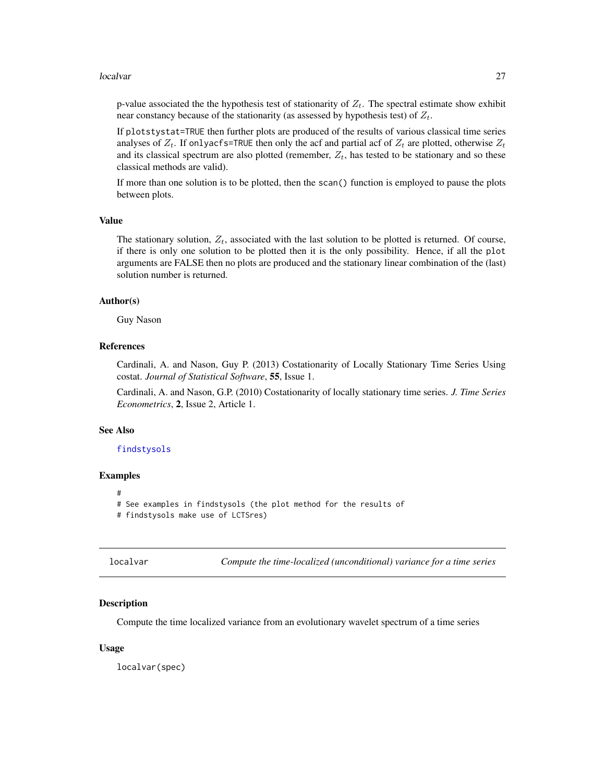#### <span id="page-26-0"></span>localvar 27

p-value associated the the hypothesis test of stationarity of  $Z_t$ . The spectral estimate show exhibit near constancy because of the stationarity (as assessed by hypothesis test) of  $Z_t$ .

If plotstystat=TRUE then further plots are produced of the results of various classical time series analyses of  $Z_t$ . If onlyacfs=TRUE then only the acf and partial acf of  $Z_t$  are plotted, otherwise  $Z_t$ and its classical spectrum are also plotted (remember,  $Z_t$ , has tested to be stationary and so these classical methods are valid).

If more than one solution is to be plotted, then the scan() function is employed to pause the plots between plots.

#### Value

The stationary solution,  $Z_t$ , associated with the last solution to be plotted is returned. Of course, if there is only one solution to be plotted then it is the only possibility. Hence, if all the plot arguments are FALSE then no plots are produced and the stationary linear combination of the (last) solution number is returned.

#### Author(s)

Guy Nason

## References

Cardinali, A. and Nason, Guy P. (2013) Costationarity of Locally Stationary Time Series Using costat. *Journal of Statistical Software*, 55, Issue 1.

Cardinali, A. and Nason, G.P. (2010) Costationarity of locally stationary time series. *J. Time Series Econometrics*, 2, Issue 2, Article 1.

#### See Also

#### [findstysols](#page-13-1)

## Examples

#

```
# See examples in findstysols (the plot method for the results of
```

```
# findstysols make use of LCTSres)
```
localvar *Compute the time-localized (unconditional) variance for a time series*

#### **Description**

Compute the time localized variance from an evolutionary wavelet spectrum of a time series

#### Usage

localvar(spec)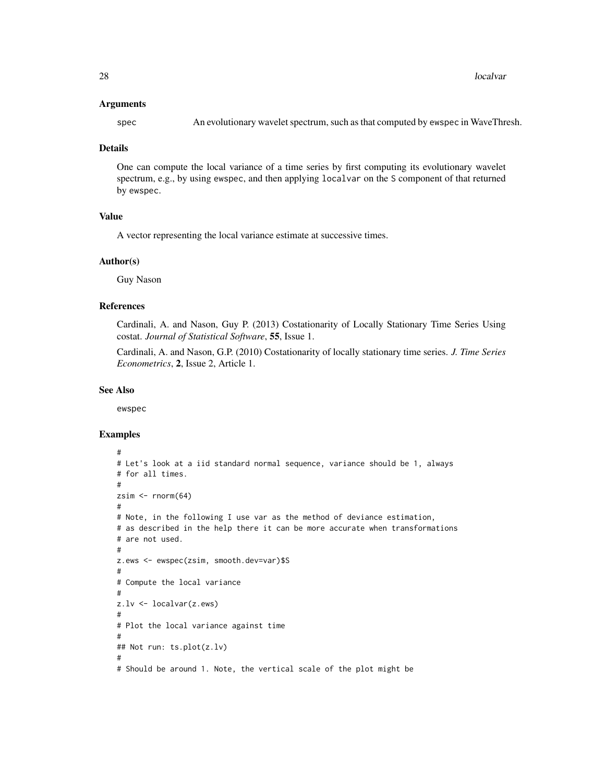#### Arguments

spec An evolutionary wavelet spectrum, such as that computed by ewspec in WaveThresh.

#### Details

One can compute the local variance of a time series by first computing its evolutionary wavelet spectrum, e.g., by using ewspec, and then applying localvar on the S component of that returned by ewspec.

## Value

A vector representing the local variance estimate at successive times.

## Author(s)

Guy Nason

#### References

Cardinali, A. and Nason, Guy P. (2013) Costationarity of Locally Stationary Time Series Using costat. *Journal of Statistical Software*, 55, Issue 1.

Cardinali, A. and Nason, G.P. (2010) Costationarity of locally stationary time series. *J. Time Series Econometrics*, 2, Issue 2, Article 1.

## See Also

ewspec

```
#
# Let's look at a iid standard normal sequence, variance should be 1, always
# for all times.
#
zsim < rnorm(64)
#
# Note, in the following I use var as the method of deviance estimation,
# as described in the help there it can be more accurate when transformations
# are not used.
#
z.ews <- ewspec(zsim, smooth.dev=var)$S
#
# Compute the local variance
#
z.lv <- localvar(z.ews)
#
# Plot the local variance against time
#
## Not run: ts.plot(z.lv)
#
# Should be around 1. Note, the vertical scale of the plot might be
```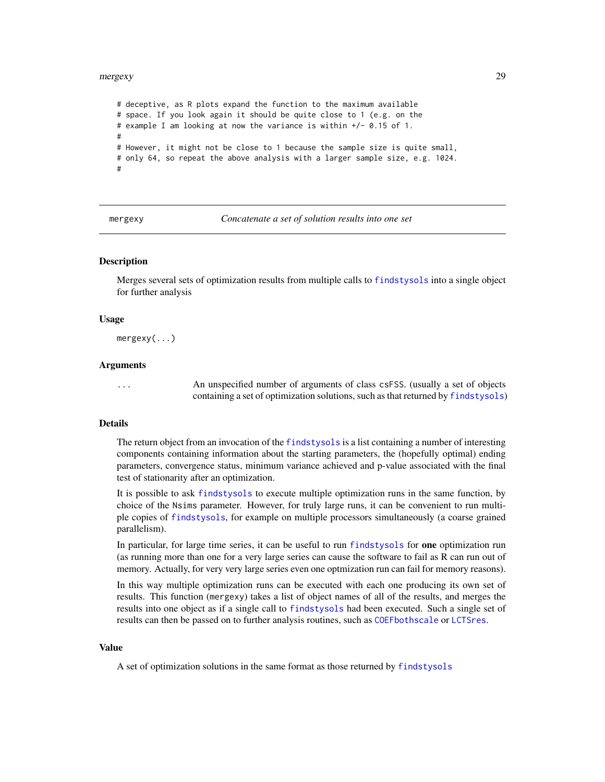#### <span id="page-28-0"></span>mergexy 29

# deceptive, as R plots expand the function to the maximum available # space. If you look again it should be quite close to 1 (e.g. on the # example I am looking at now the variance is within +/- 0.15 of 1. # # However, it might not be close to 1 because the sample size is quite small, # only 64, so repeat the above analysis with a larger sample size, e.g. 1024. #

<span id="page-28-1"></span>mergexy *Concatenate a set of solution results into one set*

## **Description**

Merges several sets of optimization results from multiple calls to [findstysols](#page-13-1) into a single object for further analysis

#### Usage

mergexy(...)

#### Arguments

... An unspecified number of arguments of class csFSS. (usually a set of objects containing a set of optimization solutions, such as that returned by [findstysols](#page-13-1))

#### Details

The return object from an invocation of the [findstysols](#page-13-1) is a list containing a number of interesting components containing information about the starting parameters, the (hopefully optimal) ending parameters, convergence status, minimum variance achieved and p-value associated with the final test of stationarity after an optimization.

It is possible to ask [findstysols](#page-13-1) to execute multiple optimization runs in the same function, by choice of the Nsims parameter. However, for truly large runs, it can be convenient to run multiple copies of [findstysols](#page-13-1), for example on multiple processors simultaneously (a coarse grained parallelism).

In particular, for large time series, it can be useful to run [findstysols](#page-13-1) for **one** optimization run (as running more than one for a very large series can cause the software to fail as R can run out of memory. Actually, for very very large series even one optmization run can fail for memory reasons).

In this way multiple optimization runs can be executed with each one producing its own set of results. This function (mergexy) takes a list of object names of all of the results, and merges the results into one object as if a single call to [findstysols](#page-13-1) had been executed. Such a single set of results can then be passed on to further analysis routines, such as [COEFbothscale](#page-6-1) or [LCTSres](#page-24-1).

## Value

A set of optimization solutions in the same format as those returned by [findstysols](#page-13-1)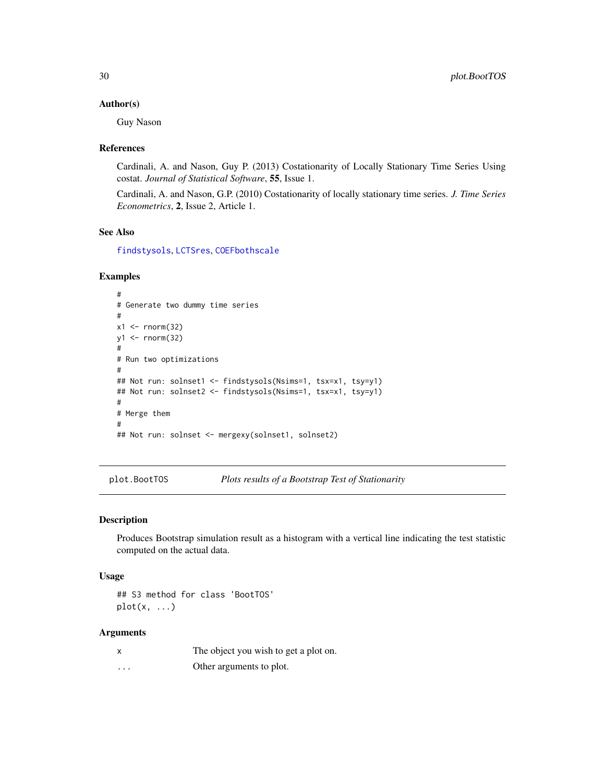#### <span id="page-29-0"></span>Author(s)

Guy Nason

#### References

Cardinali, A. and Nason, Guy P. (2013) Costationarity of Locally Stationary Time Series Using costat. *Journal of Statistical Software*, 55, Issue 1.

Cardinali, A. and Nason, G.P. (2010) Costationarity of locally stationary time series. *J. Time Series Econometrics*, 2, Issue 2, Article 1.

## See Also

[findstysols](#page-13-1), [LCTSres](#page-24-1), [COEFbothscale](#page-6-1)

## Examples

```
#
# Generate two dummy time series
#
x1 \leftarrow \text{norm}(32)y1 <- rnorm(32)
#
# Run two optimizations
#
## Not run: solnset1 <- findstysols(Nsims=1, tsx=x1, tsy=y1)
## Not run: solnset2 <- findstysols(Nsims=1, tsx=x1, tsy=y1)
#
# Merge them
#
## Not run: solnset <- mergexy(solnset1, solnset2)
```
plot.BootTOS *Plots results of a Bootstrap Test of Stationarity*

#### Description

Produces Bootstrap simulation result as a histogram with a vertical line indicating the test statistic computed on the actual data.

#### Usage

## S3 method for class 'BootTOS'  $plot(x, \ldots)$ 

| x        | The object you wish to get a plot on. |
|----------|---------------------------------------|
| $\cdots$ | Other arguments to plot.              |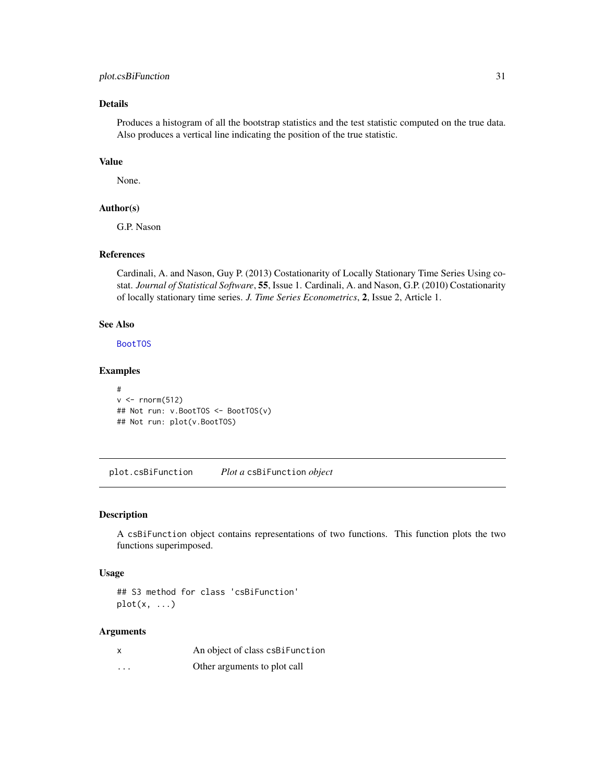## <span id="page-30-0"></span>plot.csBiFunction 31

## Details

Produces a histogram of all the bootstrap statistics and the test statistic computed on the true data. Also produces a vertical line indicating the position of the true statistic.

## Value

None.

## Author(s)

G.P. Nason

## References

Cardinali, A. and Nason, Guy P. (2013) Costationarity of Locally Stationary Time Series Using costat. *Journal of Statistical Software*, 55, Issue 1. Cardinali, A. and Nason, G.P. (2010) Costationarity of locally stationary time series. *J. Time Series Econometrics*, 2, Issue 2, Article 1.

#### See Also

[BootTOS](#page-4-1)

## Examples

```
#
v \le rnorm(512)
## Not run: v.BootTOS <- BootTOS(v)
## Not run: plot(v.BootTOS)
```
<span id="page-30-1"></span>plot.csBiFunction *Plot a* csBiFunction *object*

#### Description

A csBiFunction object contains representations of two functions. This function plots the two functions superimposed.

#### Usage

```
## S3 method for class 'csBiFunction'
plot(x, \ldots)
```

| x        | An object of class csBiFunction |
|----------|---------------------------------|
| $\cdots$ | Other arguments to plot call    |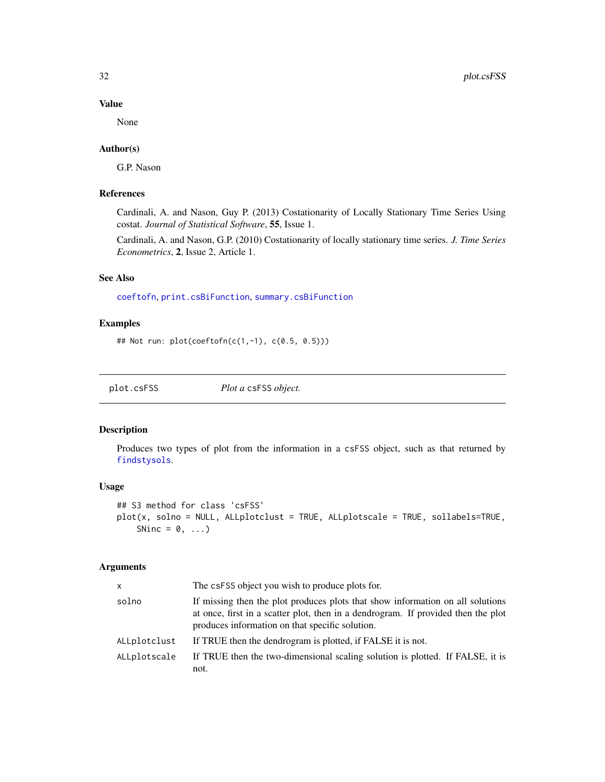## Value

None

## Author(s)

G.P. Nason

## References

Cardinali, A. and Nason, Guy P. (2013) Costationarity of Locally Stationary Time Series Using costat. *Journal of Statistical Software*, 55, Issue 1.

Cardinali, A. and Nason, G.P. (2010) Costationarity of locally stationary time series. *J. Time Series Econometrics*, 2, Issue 2, Article 1.

## See Also

[coeftofn](#page-8-1), [print.csBiFunction](#page-38-1), [summary.csBiFunction](#page-46-1)

## Examples

```
## Not run: plot(coeftofn(c(1,-1), c(0.5, 0.5)))
```
<span id="page-31-1"></span>

plot.csFSS *Plot a* csFSS *object.*

## Description

Produces two types of plot from the information in a csFSS object, such as that returned by [findstysols](#page-13-1).

## Usage

```
## S3 method for class 'csFSS'
plot(x, solno = NULL, ALLplotclust = TRUE, ALLplotscale = TRUE, sollabels=TRUE,
    SNinc = 0, \ldots)
```

| X            | The csFSS object you wish to produce plots for.                                                                                                                                                                        |
|--------------|------------------------------------------------------------------------------------------------------------------------------------------------------------------------------------------------------------------------|
| solno        | If missing then the plot produces plots that show information on all solutions<br>at once, first in a scatter plot, then in a dendrogram. If provided then the plot<br>produces information on that specific solution. |
| ALLplotclust | If TRUE then the dendrogram is plotted, if FALSE it is not.                                                                                                                                                            |
| ALLplotscale | If TRUE then the two-dimensional scaling solution is plotted. If FALSE, it is<br>not.                                                                                                                                  |

<span id="page-31-0"></span>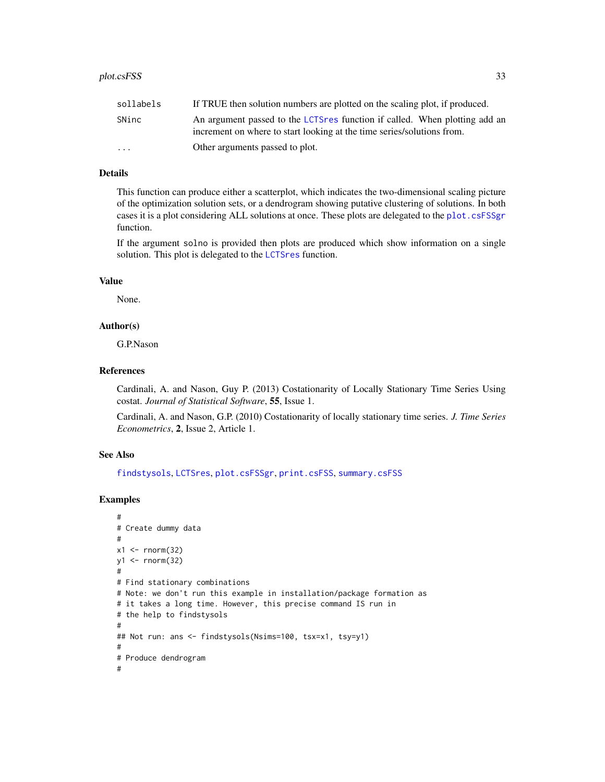#### <span id="page-32-0"></span>plot.csFSS 33

| sollabels               | If TRUE then solution numbers are plotted on the scaling plot, if produced.                                                                           |
|-------------------------|-------------------------------------------------------------------------------------------------------------------------------------------------------|
| SNinc                   | An argument passed to the LCTS res function if called. When plotting add an<br>increment on where to start looking at the time series/solutions from. |
| $\cdot$ $\cdot$ $\cdot$ | Other arguments passed to plot.                                                                                                                       |

## Details

This function can produce either a scatterplot, which indicates the two-dimensional scaling picture of the optimization solution sets, or a dendrogram showing putative clustering of solutions. In both cases it is a plot considering ALL solutions at once. These plots are delegated to the [plot.csFSSgr](#page-33-1) function.

If the argument solno is provided then plots are produced which show information on a single solution. This plot is delegated to the [LCTSres](#page-24-1) function.

#### Value

None.

## Author(s)

G.P.Nason

## References

Cardinali, A. and Nason, Guy P. (2013) Costationarity of Locally Stationary Time Series Using costat. *Journal of Statistical Software*, 55, Issue 1.

Cardinali, A. and Nason, G.P. (2010) Costationarity of locally stationary time series. *J. Time Series Econometrics*, 2, Issue 2, Article 1.

## See Also

[findstysols](#page-13-1), [LCTSres](#page-24-1), [plot.csFSSgr](#page-33-1), [print.csFSS](#page-39-1), [summary.csFSS](#page-47-1)

```
#
# Create dummy data
#
x1 \leftarrow \text{norm}(32)y1 \leftarrow \text{norm}(32)#
# Find stationary combinations
# Note: we don't run this example in installation/package formation as
# it takes a long time. However, this precise command IS run in
# the help to findstysols
#
## Not run: ans <- findstysols(Nsims=100, tsx=x1, tsy=y1)
#
# Produce dendrogram
#
```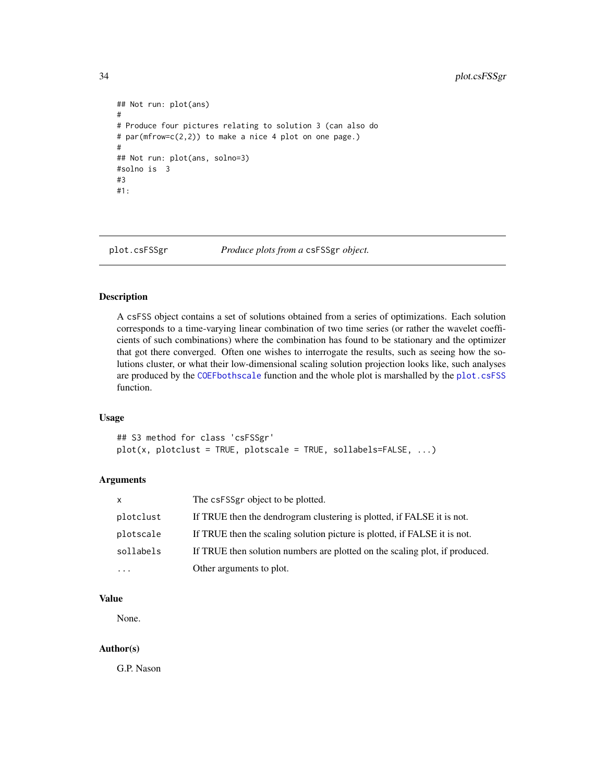## <span id="page-33-0"></span>34 plot.csFSSgr

```
## Not run: plot(ans)
#
# Produce four pictures relating to solution 3 (can also do
# par(mfrow=c(2,2)) to make a nice 4 plot on one page.)
#
## Not run: plot(ans, solno=3)
#solno is 3
#3
#1:
```
<span id="page-33-1"></span>

plot.csFSSgr *Produce plots from a* csFSSgr *object.*

## Description

A csFSS object contains a set of solutions obtained from a series of optimizations. Each solution corresponds to a time-varying linear combination of two time series (or rather the wavelet coefficients of such combinations) where the combination has found to be stationary and the optimizer that got there converged. Often one wishes to interrogate the results, such as seeing how the solutions cluster, or what their low-dimensional scaling solution projection looks like, such analyses are produced by the [COEFbothscale](#page-6-1) function and the whole plot is marshalled by the [plot.csFSS](#page-31-1) function.

## Usage

## S3 method for class 'csFSSgr'  $plot(x, plotclust = TRUE, plotscale = TRUE, solidablels = FALSE, ...)$ 

## Arguments

| $\mathbf{x}$ | The csFSSgr object to be plotted.                                           |
|--------------|-----------------------------------------------------------------------------|
| plotclust    | If TRUE then the dendrogram clustering is plotted, if FALSE it is not.      |
| plotscale    | If TRUE then the scaling solution picture is plotted, if FALSE it is not.   |
| sollabels    | If TRUE then solution numbers are plotted on the scaling plot, if produced. |
| $\cdots$     | Other arguments to plot.                                                    |

#### Value

None.

#### Author(s)

G.P. Nason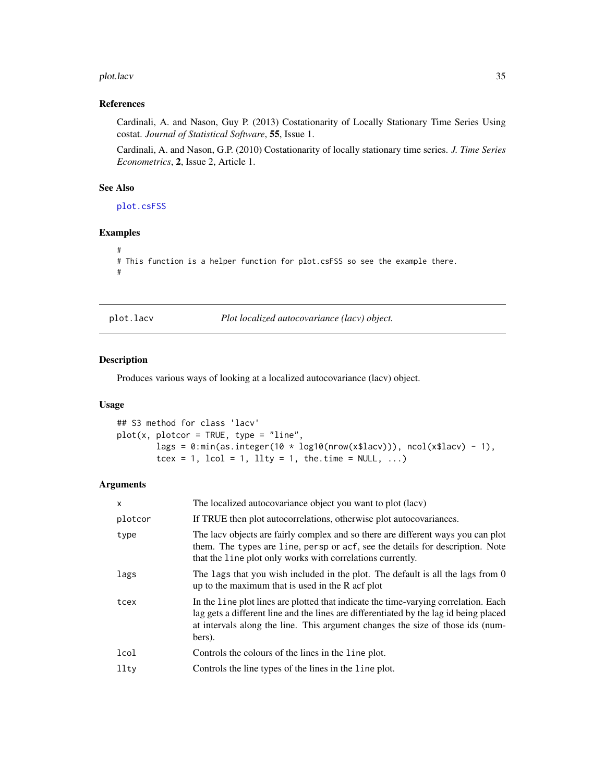#### <span id="page-34-0"></span>plot.lacv 35

## References

Cardinali, A. and Nason, Guy P. (2013) Costationarity of Locally Stationary Time Series Using costat. *Journal of Statistical Software*, 55, Issue 1.

Cardinali, A. and Nason, G.P. (2010) Costationarity of locally stationary time series. *J. Time Series Econometrics*, 2, Issue 2, Article 1.

## See Also

[plot.csFSS](#page-31-1)

#### Examples

```
#
# This function is a helper function for plot.csFSS so see the example there.
#
```
<span id="page-34-1"></span>

plot.lacv *Plot localized autocovariance (lacv) object.*

## Description

Produces various ways of looking at a localized autocovariance (lacv) object.

## Usage

```
## S3 method for class 'lacv'
plot(x, plotcor = TRUE, type = "line",lags = 0:\min(\text{as.integer}(10 \times \log 10(\text{nrow}(x\text{slacy}))), \text{ncol}(x\text{slacy}) - 1),tcex = 1, lcol = 1, llty = 1, the.time = NULL, ...)
```

| X       | The localized autocovariance object you want to plot (lacv)                                                                                                                                                                                                              |
|---------|--------------------------------------------------------------------------------------------------------------------------------------------------------------------------------------------------------------------------------------------------------------------------|
| plotcor | If TRUE then plot autocorrelations, otherwise plot autocovariances.                                                                                                                                                                                                      |
| type    | The lacy objects are fairly complex and so there are different ways you can plot<br>them. The types are line, persp or acf, see the details for description. Note<br>that the line plot only works with correlations currently.                                          |
| lags    | The lags that you wish included in the plot. The default is all the lags from 0<br>up to the maximum that is used in the R acf plot                                                                                                                                      |
| tcex    | In the line plot lines are plotted that indicate the time-varying correlation. Each<br>lag gets a different line and the lines are differentiated by the lag id being placed<br>at intervals along the line. This argument changes the size of those ids (num-<br>bers). |
| lcol    | Controls the colours of the lines in the line plot.                                                                                                                                                                                                                      |
| llty    | Controls the line types of the lines in the line plot.                                                                                                                                                                                                                   |
|         |                                                                                                                                                                                                                                                                          |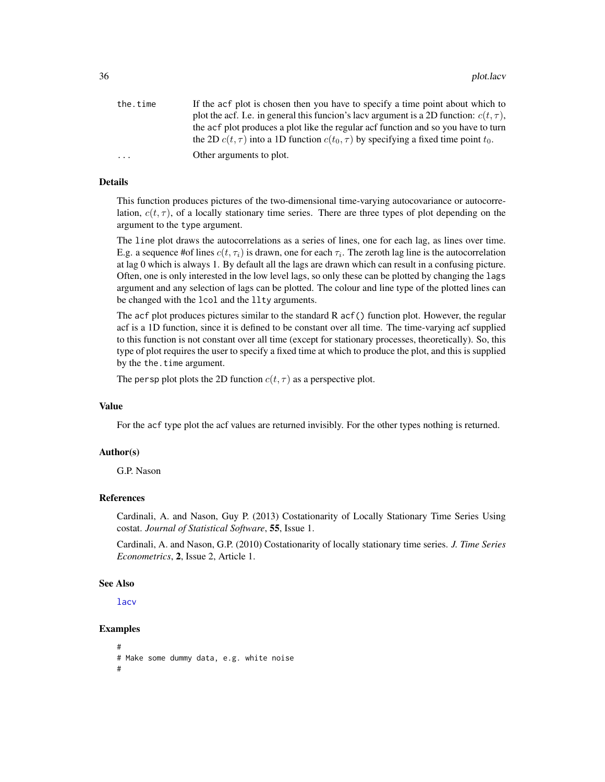<span id="page-35-0"></span>

| If the acf plot is chosen then you have to specify a time point about which to                 |
|------------------------------------------------------------------------------------------------|
| plot the acf. I.e. in general this funcion's lacv argument is a 2D function: $c(t, \tau)$ ,    |
| the acf plot produces a plot like the regular acf function and so you have to turn             |
| the 2D $c(t, \tau)$ into a 1D function $c(t_0, \tau)$ by specifying a fixed time point $t_0$ . |
| Other arguments to plot.                                                                       |
|                                                                                                |

## Details

This function produces pictures of the two-dimensional time-varying autocovariance or autocorrelation,  $c(t, \tau)$ , of a locally stationary time series. There are three types of plot depending on the argument to the type argument.

The line plot draws the autocorrelations as a series of lines, one for each lag, as lines over time. E.g. a sequence #of lines  $c(t, \tau_i)$  is drawn, one for each  $\tau_i$ . The zeroth lag line is the autocorrelation at lag 0 which is always 1. By default all the lags are drawn which can result in a confusing picture. Often, one is only interested in the low level lags, so only these can be plotted by changing the lags argument and any selection of lags can be plotted. The colour and line type of the plotted lines can be changed with the lcol and the llty arguments.

The acf plot produces pictures similar to the standard R acf() function plot. However, the regular acf is a 1D function, since it is defined to be constant over all time. The time-varying acf supplied to this function is not constant over all time (except for stationary processes, theoretically). So, this type of plot requires the user to specify a fixed time at which to produce the plot, and this is supplied by the the.time argument.

The persp plot plots the 2D function  $c(t, \tau)$  as a perspective plot.

#### Value

For the acf type plot the acf values are returned invisibly. For the other types nothing is returned.

#### Author(s)

G.P. Nason

#### References

Cardinali, A. and Nason, Guy P. (2013) Costationarity of Locally Stationary Time Series Using costat. *Journal of Statistical Software*, 55, Issue 1.

Cardinali, A. and Nason, G.P. (2010) Costationarity of locally stationary time series. *J. Time Series Econometrics*, 2, Issue 2, Article 1.

#### See Also

**[lacv](#page-20-1)** 

## Examples

# # Make some dummy data, e.g. white noise #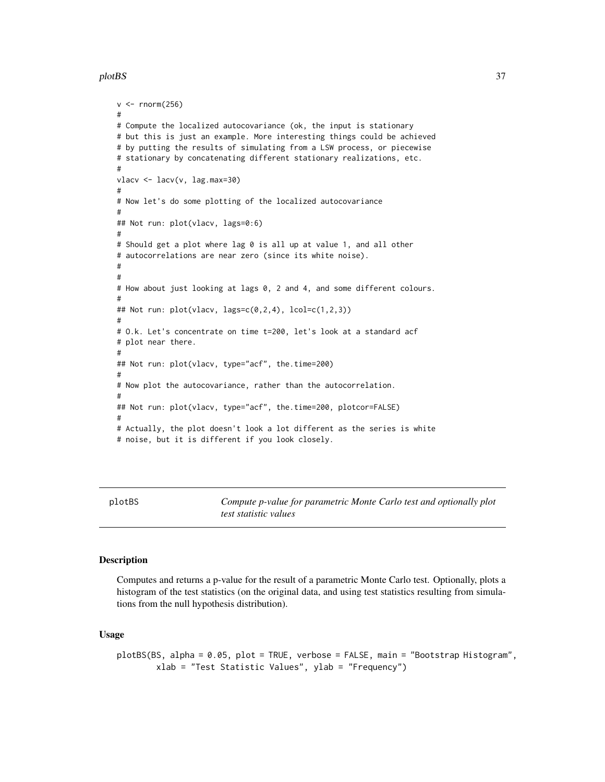#### <span id="page-36-0"></span>plot BS 37

```
v \leq -rnorm(256)#
# Compute the localized autocovariance (ok, the input is stationary
# but this is just an example. More interesting things could be achieved
# by putting the results of simulating from a LSW process, or piecewise
# stationary by concatenating different stationary realizations, etc.
#
vlacv <- lacv(v, lag.max=30)
#
# Now let's do some plotting of the localized autocovariance
#
## Not run: plot(vlacv, lags=0:6)
#
# Should get a plot where lag 0 is all up at value 1, and all other
# autocorrelations are near zero (since its white noise).
#
#
# How about just looking at lags 0, 2 and 4, and some different colours.
#
## Not run: plot(vlacv, lags=c(0, 2, 4), lcol=c(1, 2, 3))
#
# O.k. Let's concentrate on time t=200, let's look at a standard acf
# plot near there.
#
## Not run: plot(vlacv, type="acf", the.time=200)
#
# Now plot the autocovariance, rather than the autocorrelation.
#
## Not run: plot(vlacv, type="acf", the.time=200, plotcor=FALSE)
#
# Actually, the plot doesn't look a lot different as the series is white
# noise, but it is different if you look closely.
```
<span id="page-36-1"></span>

plotBS *Compute p-value for parametric Monte Carlo test and optionally plot test statistic values*

#### Description

Computes and returns a p-value for the result of a parametric Monte Carlo test. Optionally, plots a histogram of the test statistics (on the original data, and using test statistics resulting from simulations from the null hypothesis distribution).

## Usage

plotBS(BS, alpha = 0.05, plot = TRUE, verbose = FALSE, main = "Bootstrap Histogram", xlab = "Test Statistic Values", ylab = "Frequency")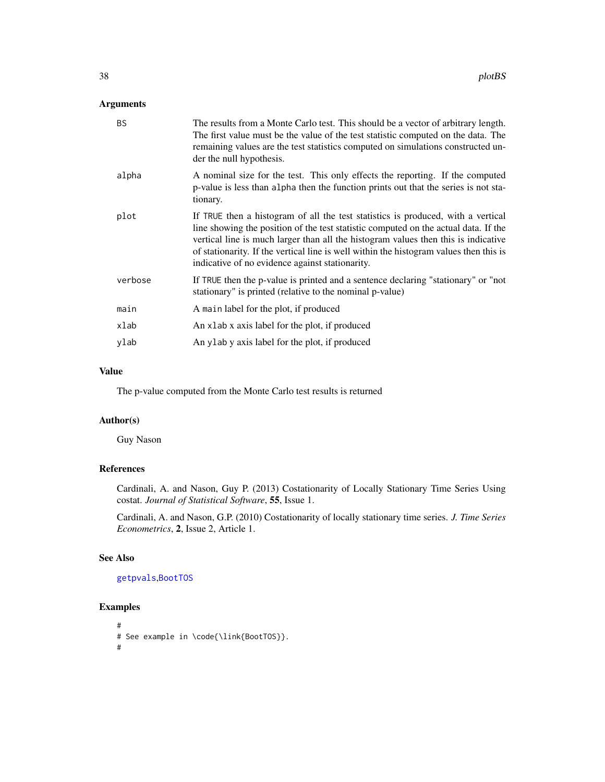## <span id="page-37-0"></span>Arguments

| <b>BS</b> | The results from a Monte Carlo test. This should be a vector of arbitrary length.<br>The first value must be the value of the test statistic computed on the data. The<br>remaining values are the test statistics computed on simulations constructed un-<br>der the null hypothesis.                                                                                                                     |
|-----------|------------------------------------------------------------------------------------------------------------------------------------------------------------------------------------------------------------------------------------------------------------------------------------------------------------------------------------------------------------------------------------------------------------|
| alpha     | A nominal size for the test. This only effects the reporting. If the computed<br>p-value is less than alpha then the function prints out that the series is not sta-<br>tionary.                                                                                                                                                                                                                           |
| plot      | If TRUE then a histogram of all the test statistics is produced, with a vertical<br>line showing the position of the test statistic computed on the actual data. If the<br>vertical line is much larger than all the histogram values then this is indicative<br>of stationarity. If the vertical line is well within the histogram values then this is<br>indicative of no evidence against stationarity. |
| verbose   | If TRUE then the p-value is printed and a sentence declaring "stationary" or "not<br>stationary" is printed (relative to the nominal p-value)                                                                                                                                                                                                                                                              |
| main      | A main label for the plot, if produced                                                                                                                                                                                                                                                                                                                                                                     |
| xlab      | An x lab x axis label for the plot, if produced                                                                                                                                                                                                                                                                                                                                                            |
| ylab      | An ylab y axis label for the plot, if produced                                                                                                                                                                                                                                                                                                                                                             |
|           |                                                                                                                                                                                                                                                                                                                                                                                                            |

## Value

The p-value computed from the Monte Carlo test results is returned

## Author(s)

Guy Nason

## References

Cardinali, A. and Nason, Guy P. (2013) Costationarity of Locally Stationary Time Series Using costat. *Journal of Statistical Software*, 55, Issue 1.

Cardinali, A. and Nason, G.P. (2010) Costationarity of locally stationary time series. *J. Time Series Econometrics*, 2, Issue 2, Article 1.

#### See Also

[getpvals](#page-18-1),[BootTOS](#page-4-1)

```
#
# See example in \code{\link{BootTOS}}.
#
```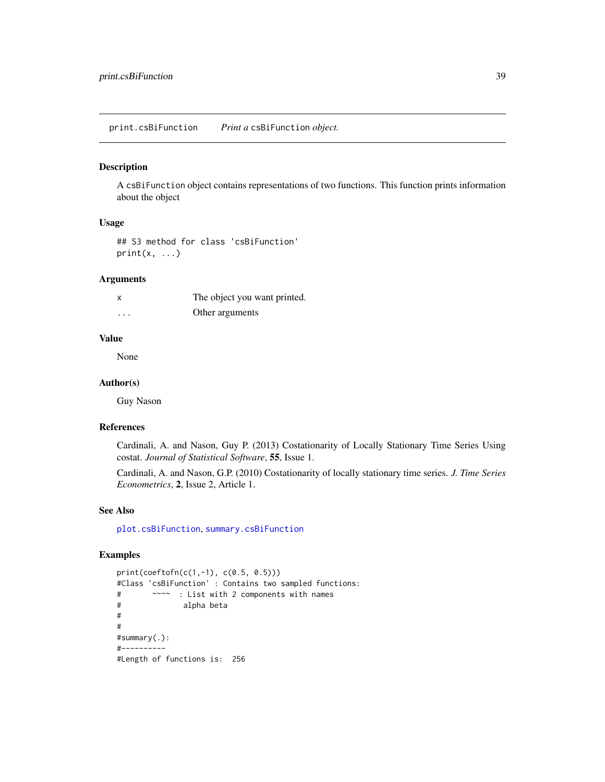<span id="page-38-1"></span><span id="page-38-0"></span>print.csBiFunction *Print a* csBiFunction *object.*

#### Description

A csBiFunction object contains representations of two functions. This function prints information about the object

## Usage

## S3 method for class 'csBiFunction'  $print(x, \ldots)$ 

#### Arguments

| X | The object you want printed. |
|---|------------------------------|
| . | Other arguments              |

## Value

None

#### Author(s)

Guy Nason

#### References

Cardinali, A. and Nason, Guy P. (2013) Costationarity of Locally Stationary Time Series Using costat. *Journal of Statistical Software*, 55, Issue 1.

Cardinali, A. and Nason, G.P. (2010) Costationarity of locally stationary time series. *J. Time Series Econometrics*, 2, Issue 2, Article 1.

## See Also

[plot.csBiFunction](#page-30-1), [summary.csBiFunction](#page-46-1)

```
print(coeftofn(c(1,-1), c(0.5, 0.5)))
#Class 'csBiFunction' : Contains two sampled functions:
# ~~~~ : List with 2 components with names
# alpha beta
#
#
#summary(.):
#----------
#Length of functions is: 256
```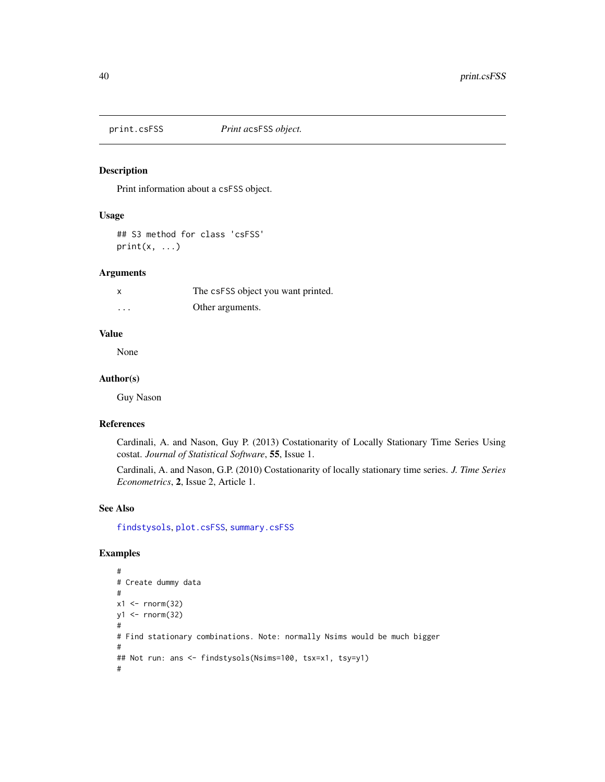<span id="page-39-1"></span><span id="page-39-0"></span>

## Description

Print information about a csFSS object.

#### Usage

```
## S3 method for class 'csFSS'
print(x, \ldots)
```
## Arguments

|          | The csFSS object you want printed. |
|----------|------------------------------------|
| $\cdots$ | Other arguments.                   |

#### Value

None

#### Author(s)

Guy Nason

## References

Cardinali, A. and Nason, Guy P. (2013) Costationarity of Locally Stationary Time Series Using costat. *Journal of Statistical Software*, 55, Issue 1.

Cardinali, A. and Nason, G.P. (2010) Costationarity of locally stationary time series. *J. Time Series Econometrics*, 2, Issue 2, Article 1.

### See Also

[findstysols](#page-13-1), [plot.csFSS](#page-31-1), [summary.csFSS](#page-47-1)

```
#
# Create dummy data
#
x1 \leftarrow \text{norm}(32)y1 <- rnorm(32)
#
# Find stationary combinations. Note: normally Nsims would be much bigger
#
## Not run: ans <- findstysols(Nsims=100, tsx=x1, tsy=y1)
#
```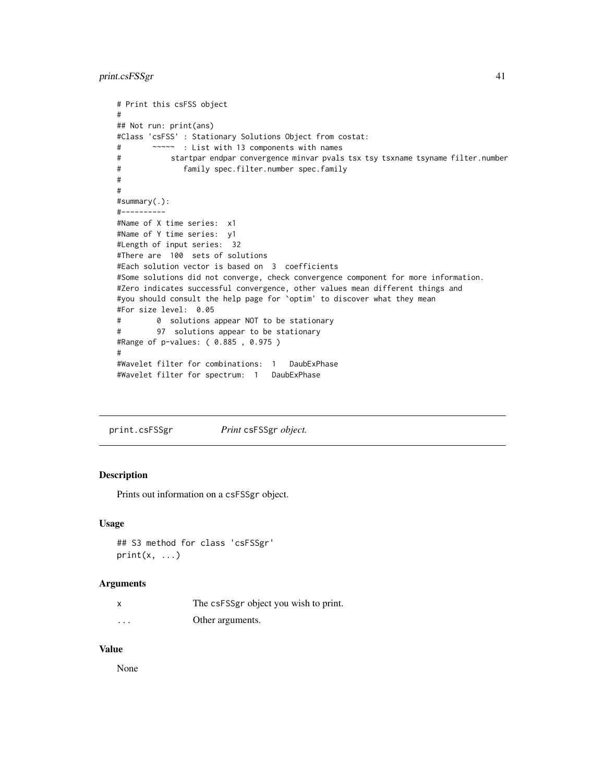```
# Print this csFSS object
#
## Not run: print(ans)
#Class 'csFSS' : Stationary Solutions Object from costat:
# ~~~~~ : List with 13 components with names
# startpar endpar convergence minvar pvals tsx tsy tsxname tsyname filter.number
# family spec.filter.number spec.family
#
#
#summary(.):
#----------
#Name of X time series: x1
#Name of Y time series: y1
#Length of input series: 32
#There are 100 sets of solutions
#Each solution vector is based on 3 coefficients
#Some solutions did not converge, check convergence component for more information.
#Zero indicates successful convergence, other values mean different things and
#you should consult the help page for `optim' to discover what they mean
#For size level: 0.05
# 0 solutions appear NOT to be stationary
# 97 solutions appear to be stationary
#Range of p-values: ( 0.885 , 0.975 )
#
#Wavelet filter for combinations: 1 DaubExPhase
#Wavelet filter for spectrum: 1 DaubExPhase
```
<span id="page-40-1"></span>print.csFSSgr *Print* csFSSgr *object.*

## Description

Prints out information on a csFSSgr object.

#### Usage

```
## S3 method for class 'csFSSgr'
print(x, \ldots)
```
#### Arguments

|          | The csFSSgr object you wish to print. |
|----------|---------------------------------------|
| $\cdots$ | Other arguments.                      |

#### Value

None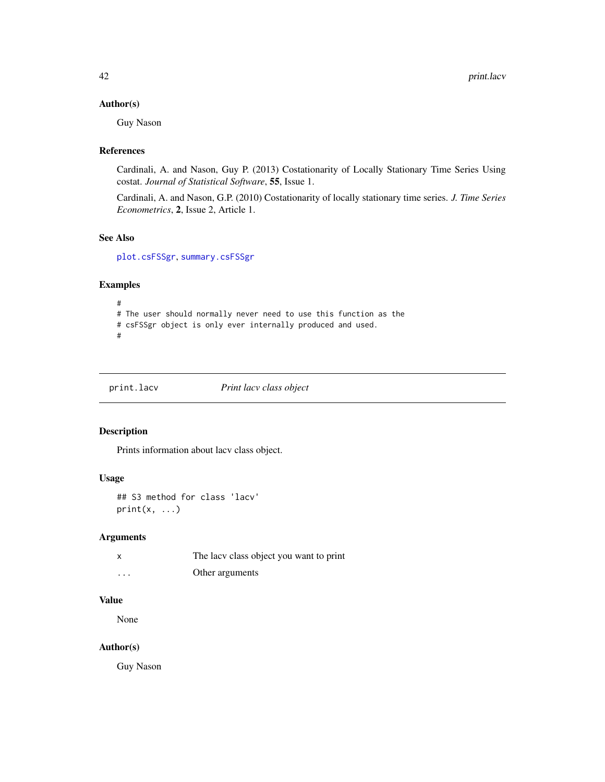## <span id="page-41-0"></span>Author(s)

Guy Nason

#### References

Cardinali, A. and Nason, Guy P. (2013) Costationarity of Locally Stationary Time Series Using costat. *Journal of Statistical Software*, 55, Issue 1.

Cardinali, A. and Nason, G.P. (2010) Costationarity of locally stationary time series. *J. Time Series Econometrics*, 2, Issue 2, Article 1.

#### See Also

[plot.csFSSgr](#page-33-1), [summary.csFSSgr](#page-48-1)

## Examples

```
#
# The user should normally never need to use this function as the
# csFSSgr object is only ever internally produced and used.
#
```
<span id="page-41-1"></span>print.lacv *Print lacv class object*

## Description

Prints information about lacv class object.

## Usage

```
## S3 method for class 'lacv'
print(x, \ldots)
```
## Arguments

|                         | The lacv class object you want to print |
|-------------------------|-----------------------------------------|
| $\cdot$ $\cdot$ $\cdot$ | Other arguments                         |

## Value

None

## Author(s)

Guy Nason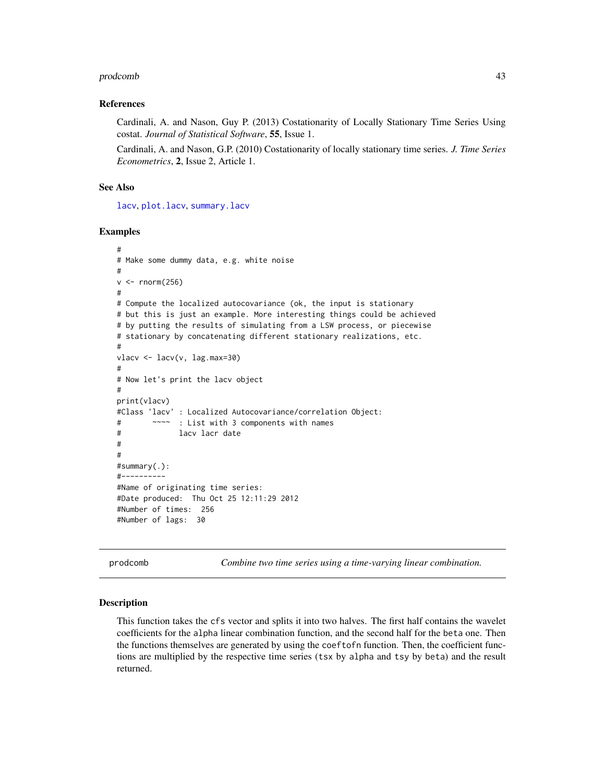#### <span id="page-42-0"></span>prodcomb 43

#### References

Cardinali, A. and Nason, Guy P. (2013) Costationarity of Locally Stationary Time Series Using costat. *Journal of Statistical Software*, 55, Issue 1.

Cardinali, A. and Nason, G.P. (2010) Costationarity of locally stationary time series. *J. Time Series Econometrics*, 2, Issue 2, Article 1.

#### See Also

[lacv](#page-20-1), [plot.lacv](#page-34-1), [summary.lacv](#page-49-1)

#### Examples

```
#
# Make some dummy data, e.g. white noise
#
v \le rnorm(256)
#
# Compute the localized autocovariance (ok, the input is stationary
# but this is just an example. More interesting things could be achieved
# by putting the results of simulating from a LSW process, or piecewise
# stationary by concatenating different stationary realizations, etc.
#
vlacv <- lacv(v, lag.max=30)
#
# Now let's print the lacv object
#
print(vlacv)
#Class 'lacv' : Localized Autocovariance/correlation Object:
# ~~~~ : List with 3 components with names
# lacv lacr date
#
#
#summary(.):
#----------
#Name of originating time series:
#Date produced: Thu Oct 25 12:11:29 2012
#Number of times: 256
#Number of lags: 30
```
<span id="page-42-1"></span>prodcomb *Combine two time series using a time-varying linear combination.*

#### Description

This function takes the cfs vector and splits it into two halves. The first half contains the wavelet coefficients for the alpha linear combination function, and the second half for the beta one. Then the functions themselves are generated by using the coeftofn function. Then, the coefficient functions are multiplied by the respective time series (tsx by alpha and tsy by beta) and the result returned.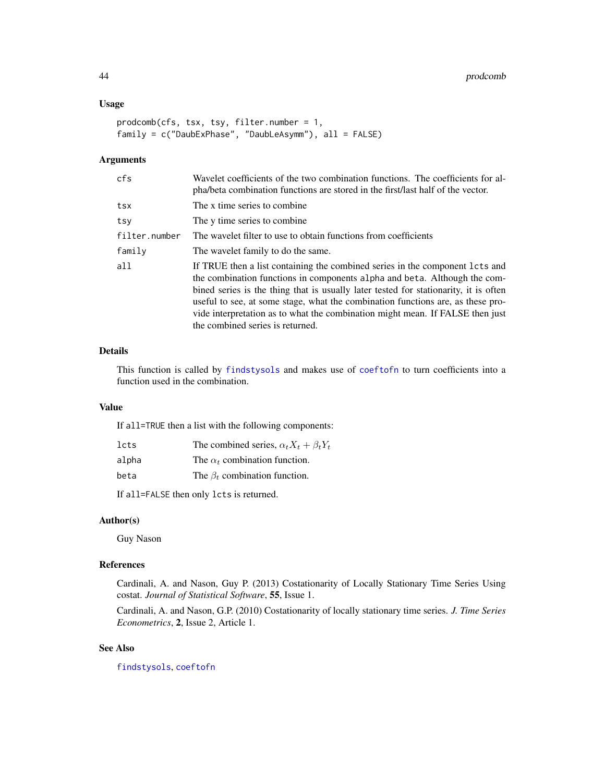## <span id="page-43-0"></span>Usage

```
prodcomb(cfs, tsx, tsy, filter.number = 1,
family = c("DaubExPhase", "DaubLeAsymm"), all = FALSE)
```
## Arguments

| cfs           | Wavelet coefficients of the two combination functions. The coefficients for al-<br>pha/beta combination functions are stored in the first/last half of the vector.                                                                                                                                                                                                                                                                                        |
|---------------|-----------------------------------------------------------------------------------------------------------------------------------------------------------------------------------------------------------------------------------------------------------------------------------------------------------------------------------------------------------------------------------------------------------------------------------------------------------|
| tsx           | The x time series to combine.                                                                                                                                                                                                                                                                                                                                                                                                                             |
| tsy           | The y time series to combine.                                                                                                                                                                                                                                                                                                                                                                                                                             |
| filter.number | The wavelet filter to use to obtain functions from coefficients                                                                                                                                                                                                                                                                                                                                                                                           |
| family        | The wavelet family to do the same.                                                                                                                                                                                                                                                                                                                                                                                                                        |
| all           | If TRUE then a list containing the combined series in the component lcts and<br>the combination functions in components alpha and beta. Although the com-<br>bined series is the thing that is usually later tested for stationarity, it is often<br>useful to see, at some stage, what the combination functions are, as these pro-<br>vide interpretation as to what the combination might mean. If FALSE then just<br>the combined series is returned. |

#### Details

This function is called by [findstysols](#page-13-1) and makes use of [coeftofn](#page-8-1) to turn coefficients into a function used in the combination.

## Value

If all=TRUE then a list with the following components:

| lcts  | The combined series, $\alpha_t X_t + \beta_t Y_t$ |
|-------|---------------------------------------------------|
| alpha | The $\alpha_t$ combination function.              |
| beta  | The $\beta_t$ combination function.               |

If all=FALSE then only lcts is returned.

## Author(s)

Guy Nason

## References

Cardinali, A. and Nason, Guy P. (2013) Costationarity of Locally Stationary Time Series Using costat. *Journal of Statistical Software*, 55, Issue 1.

Cardinali, A. and Nason, G.P. (2010) Costationarity of locally stationary time series. *J. Time Series Econometrics*, 2, Issue 2, Article 1.

## See Also

[findstysols](#page-13-1), [coeftofn](#page-8-1)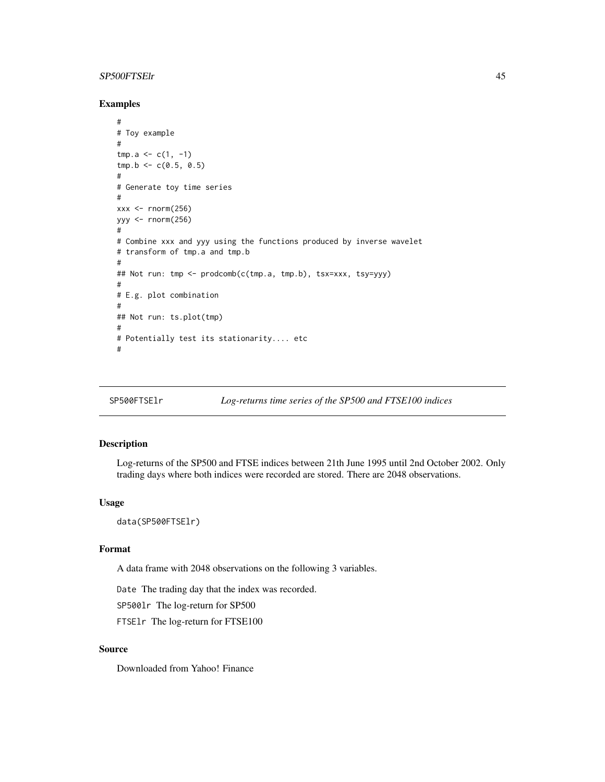## <span id="page-44-0"></span>SP500FTSElr 45

## Examples

```
#
# Toy example
#
tmp.a < -c(1, -1)tmp.b < -c(0.5, 0.5)#
# Generate toy time series
#
xxx \leftarrow \text{rnorm}(256)yyy <- rnorm(256)
#
# Combine xxx and yyy using the functions produced by inverse wavelet
# transform of tmp.a and tmp.b
#
## Not run: tmp <- prodcomb(c(tmp.a, tmp.b), tsx=xxx, tsy=yyy)
#
# E.g. plot combination
#
## Not run: ts.plot(tmp)
#
# Potentially test its stationarity.... etc
#
```
<span id="page-44-1"></span>SP500FTSElr *Log-returns time series of the SP500 and FTSE100 indices*

## Description

Log-returns of the SP500 and FTSE indices between 21th June 1995 until 2nd October 2002. Only trading days where both indices were recorded are stored. There are 2048 observations.

## Usage

data(SP500FTSElr)

## Format

A data frame with 2048 observations on the following 3 variables.

Date The trading day that the index was recorded.

SP500lr The log-return for SP500

FTSElr The log-return for FTSE100

## Source

Downloaded from Yahoo! Finance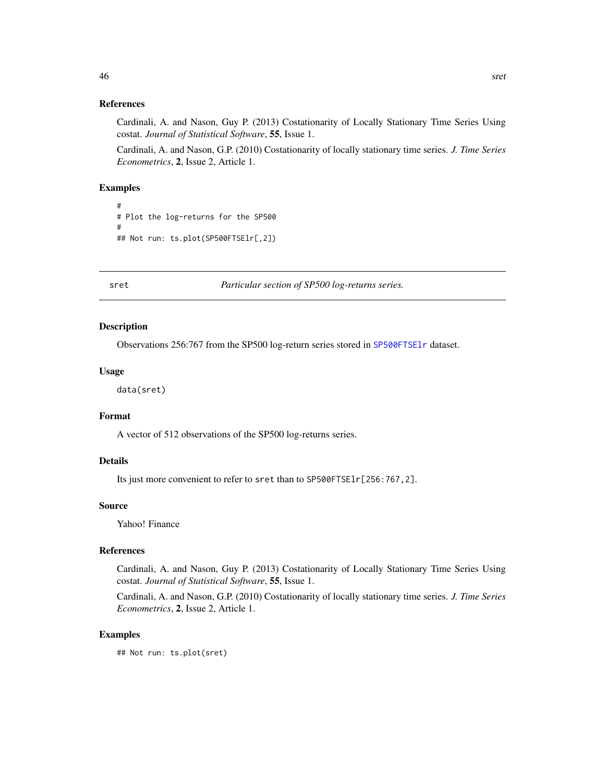## <span id="page-45-0"></span>References

Cardinali, A. and Nason, Guy P. (2013) Costationarity of Locally Stationary Time Series Using costat. *Journal of Statistical Software*, 55, Issue 1.

Cardinali, A. and Nason, G.P. (2010) Costationarity of locally stationary time series. *J. Time Series Econometrics*, 2, Issue 2, Article 1.

## Examples

```
#
# Plot the log-returns for the SP500
#
## Not run: ts.plot(SP500FTSElr[,2])
```
sret *Particular section of SP500 log-returns series.*

## Description

Observations 256:767 from the SP500 log-return series stored in [SP500FTSElr](#page-44-1) dataset.

#### Usage

data(sret)

## Format

A vector of 512 observations of the SP500 log-returns series.

## Details

Its just more convenient to refer to sret than to SP500FTSElr[256:767,2].

#### Source

Yahoo! Finance

## References

Cardinali, A. and Nason, Guy P. (2013) Costationarity of Locally Stationary Time Series Using costat. *Journal of Statistical Software*, 55, Issue 1.

Cardinali, A. and Nason, G.P. (2010) Costationarity of locally stationary time series. *J. Time Series Econometrics*, 2, Issue 2, Article 1.

## Examples

## Not run: ts.plot(sret)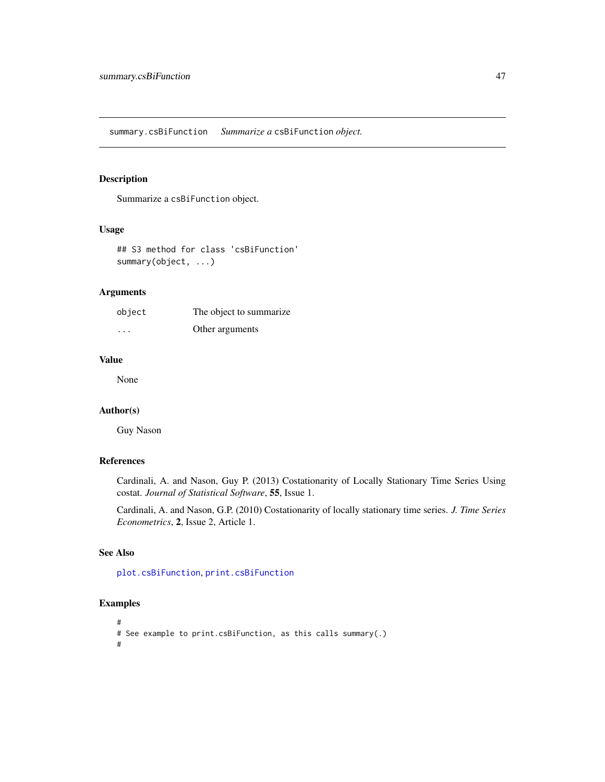<span id="page-46-1"></span><span id="page-46-0"></span>summary.csBiFunction *Summarize a* csBiFunction *object.*

## Description

Summarize a csBiFunction object.

## Usage

```
## S3 method for class 'csBiFunction'
summary(object, ...)
```
## Arguments

| object  | The object to summarize. |
|---------|--------------------------|
| $\cdot$ | Other arguments          |

## Value

None

## Author(s)

Guy Nason

## References

Cardinali, A. and Nason, Guy P. (2013) Costationarity of Locally Stationary Time Series Using costat. *Journal of Statistical Software*, 55, Issue 1.

Cardinali, A. and Nason, G.P. (2010) Costationarity of locally stationary time series. *J. Time Series Econometrics*, 2, Issue 2, Article 1.

## See Also

[plot.csBiFunction](#page-30-1), [print.csBiFunction](#page-38-1)

```
#
# See example to print.csBiFunction, as this calls summary(.)
#
```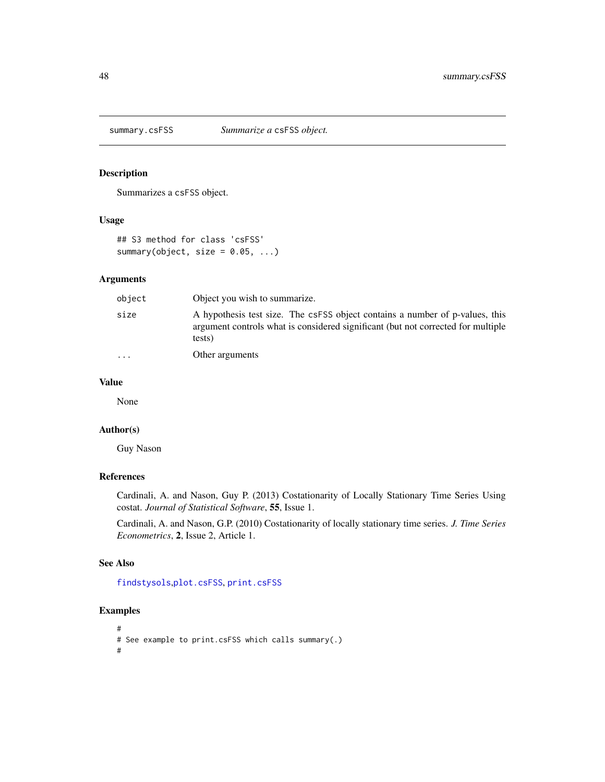<span id="page-47-1"></span><span id="page-47-0"></span>

## Description

Summarizes a csFSS object.

## Usage

## S3 method for class 'csFSS' summary(object, size =  $0.05$ , ...)

## Arguments

| object    | Object you wish to summarize.                                                                                                                                              |
|-----------|----------------------------------------------------------------------------------------------------------------------------------------------------------------------------|
| size      | A hypothesis test size. The csFSS object contains a number of p-values, this<br>argument controls what is considered significant (but not corrected for multiple<br>tests) |
| $\ddotsc$ | Other arguments                                                                                                                                                            |

## Value

None

## Author(s)

Guy Nason

## References

Cardinali, A. and Nason, Guy P. (2013) Costationarity of Locally Stationary Time Series Using costat. *Journal of Statistical Software*, 55, Issue 1.

Cardinali, A. and Nason, G.P. (2010) Costationarity of locally stationary time series. *J. Time Series Econometrics*, 2, Issue 2, Article 1.

#### See Also

[findstysols](#page-13-1),[plot.csFSS](#page-31-1), [print.csFSS](#page-39-1)

## Examples

# # See example to print.csFSS which calls summary(.) #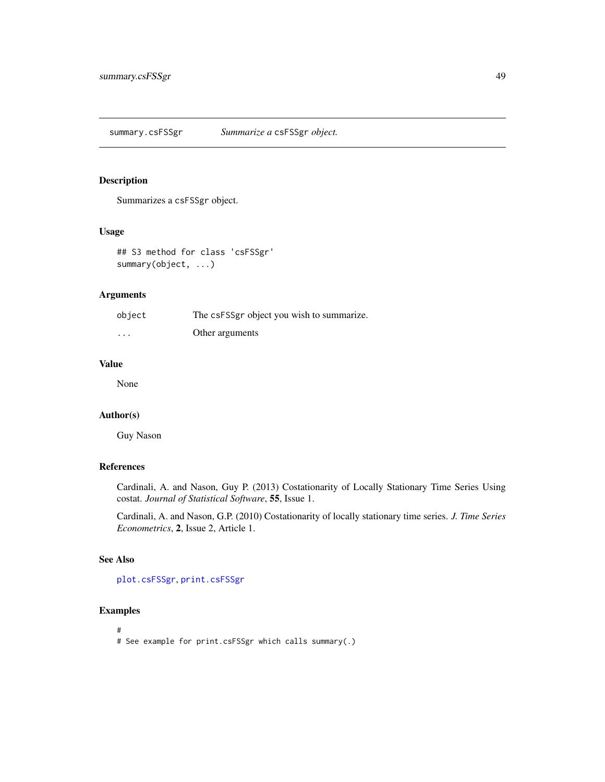<span id="page-48-1"></span><span id="page-48-0"></span>summary.csFSSgr *Summarize a* csFSSgr *object.*

## Description

Summarizes a csFSSgr object.

#### Usage

```
## S3 method for class 'csFSSgr'
summary(object, ...)
```
## Arguments

| object   | The csFSSgr object you wish to summarize. |
|----------|-------------------------------------------|
| $\cdots$ | Other arguments                           |

## Value

None

## Author(s)

Guy Nason

## References

Cardinali, A. and Nason, Guy P. (2013) Costationarity of Locally Stationary Time Series Using costat. *Journal of Statistical Software*, 55, Issue 1.

Cardinali, A. and Nason, G.P. (2010) Costationarity of locally stationary time series. *J. Time Series Econometrics*, 2, Issue 2, Article 1.

## See Also

[plot.csFSSgr](#page-33-1), [print.csFSSgr](#page-40-1)

## Examples

# # See example for print.csFSSgr which calls summary(.)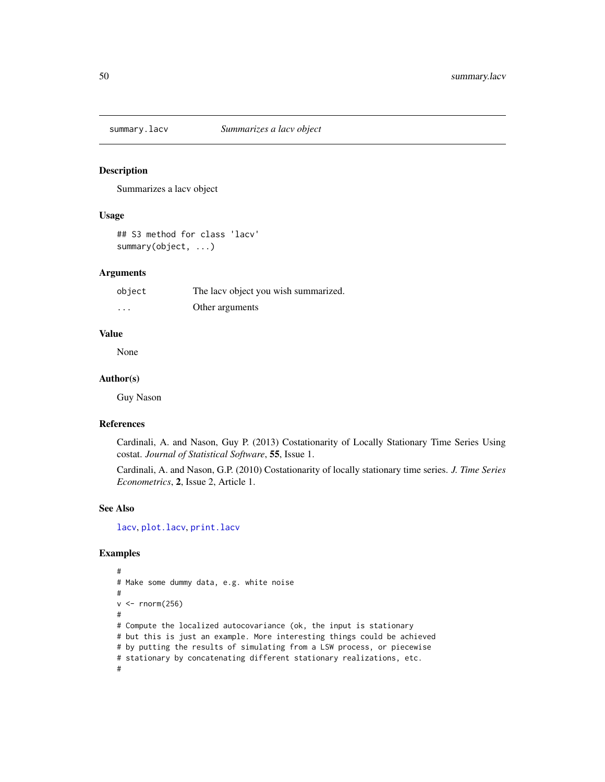<span id="page-49-1"></span><span id="page-49-0"></span>

#### Description

Summarizes a lacv object

## Usage

```
## S3 method for class 'lacv'
summary(object, ...)
```
## Arguments

| object  | The lacv object you wish summarized. |
|---------|--------------------------------------|
| $\cdot$ | Other arguments                      |

#### Value

None

#### Author(s)

Guy Nason

## References

Cardinali, A. and Nason, Guy P. (2013) Costationarity of Locally Stationary Time Series Using costat. *Journal of Statistical Software*, 55, Issue 1.

Cardinali, A. and Nason, G.P. (2010) Costationarity of locally stationary time series. *J. Time Series Econometrics*, 2, Issue 2, Article 1.

### See Also

[lacv](#page-20-1), [plot.lacv](#page-34-1), [print.lacv](#page-41-1)

```
#
# Make some dummy data, e.g. white noise
#
v < - rnorm(256)#
# Compute the localized autocovariance (ok, the input is stationary
# but this is just an example. More interesting things could be achieved
# by putting the results of simulating from a LSW process, or piecewise
# stationary by concatenating different stationary realizations, etc.
#
```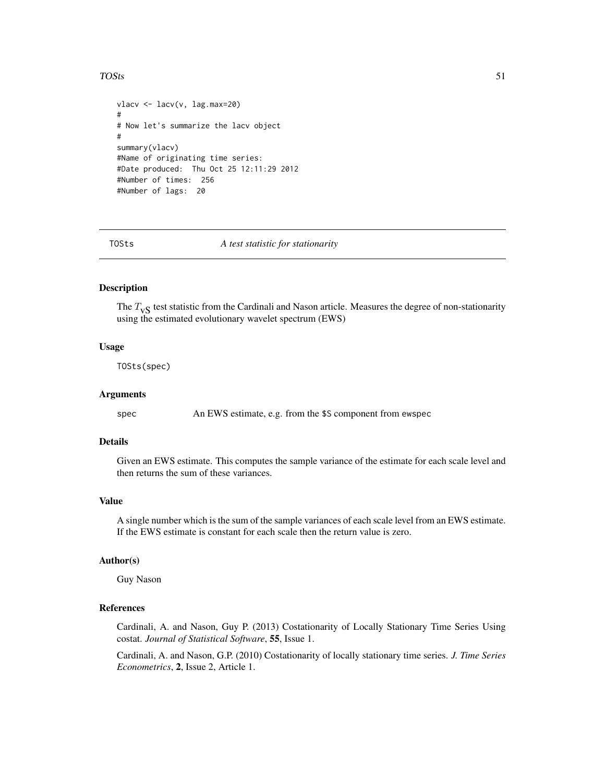#### <span id="page-50-0"></span>TOSts 51

```
vlacv <- lacv(v, lag.max=20)
#
# Now let's summarize the lacv object
#
summary(vlacv)
#Name of originating time series:
#Date produced: Thu Oct 25 12:11:29 2012
#Number of times: 256
#Number of lags: 20
```
<span id="page-50-1"></span>

TOSts *A test statistic for stationarity*

## Description

The  $T_{\rm vS}$  test statistic from the Cardinali and Nason article. Measures the degree of non-stationarity using the estimated evolutionary wavelet spectrum (EWS)

## Usage

TOSts(spec)

#### Arguments

spec An EWS estimate, e.g. from the \$S component from ewspec

## Details

Given an EWS estimate. This computes the sample variance of the estimate for each scale level and then returns the sum of these variances.

## Value

A single number which is the sum of the sample variances of each scale level from an EWS estimate. If the EWS estimate is constant for each scale then the return value is zero.

#### Author(s)

Guy Nason

## References

Cardinali, A. and Nason, Guy P. (2013) Costationarity of Locally Stationary Time Series Using costat. *Journal of Statistical Software*, 55, Issue 1.

Cardinali, A. and Nason, G.P. (2010) Costationarity of locally stationary time series. *J. Time Series Econometrics*, 2, Issue 2, Article 1.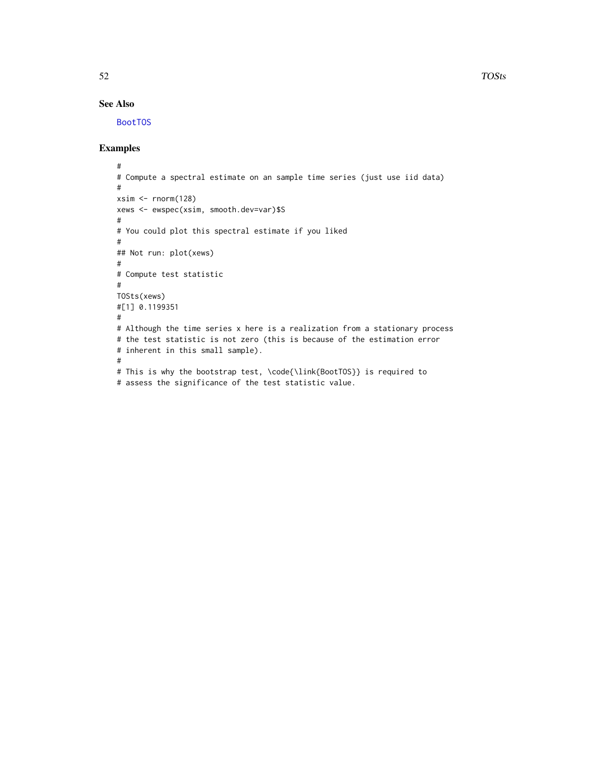## See Also

[BootTOS](#page-4-1)

```
#
# Compute a spectral estimate on an sample time series (just use iid data)
#
xsim \leftarrow rnorm(128)xews <- ewspec(xsim, smooth.dev=var)$S
#
# You could plot this spectral estimate if you liked
#
## Not run: plot(xews)
#
# Compute test statistic
#
TOSts(xews)
#[1] 0.1199351
#
# Although the time series x here is a realization from a stationary process
# the test statistic is not zero (this is because of the estimation error
# inherent in this small sample).
#
# This is why the bootstrap test, \code{\link{BootTOS}} is required to
# assess the significance of the test statistic value.
```
<span id="page-51-0"></span>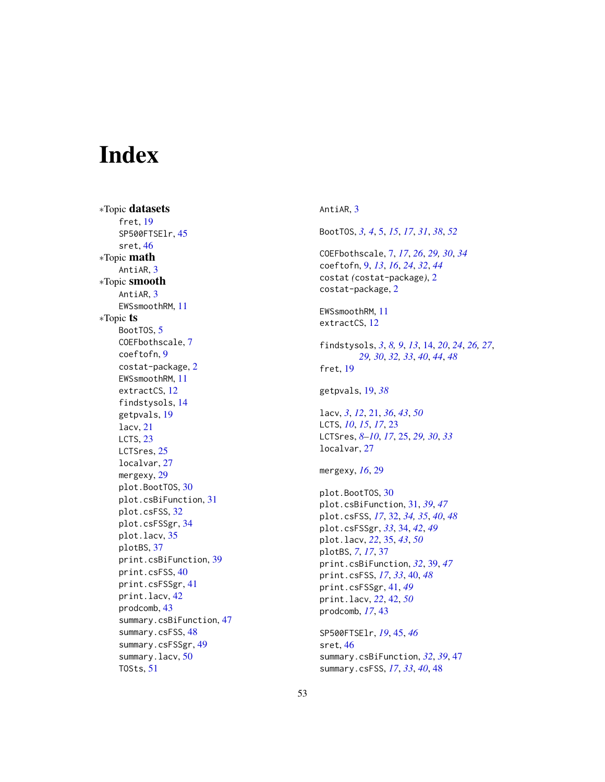# <span id="page-52-0"></span>Index

∗Topic datasets fret, [19](#page-18-0) SP500FTSElr , [45](#page-44-0) sret , [46](#page-45-0) ∗Topic math AntiAR, [3](#page-2-0) ∗Topic smooth AntiAR, [3](#page-2-0) EWSsmoothRM , [11](#page-10-0) ∗Topic ts BootTOS, [5](#page-4-0) COEFbothscale , [7](#page-6-0) coeftofn , [9](#page-8-0) costat-package , [2](#page-1-0) EWSsmoothRM , [11](#page-10-0) extractCS , [12](#page-11-0) findstysols , [14](#page-13-0) getpvals , [19](#page-18-0) lacv , [21](#page-20-0) LCTS , [23](#page-22-0) LCTSres, [25](#page-24-0) localvar , [27](#page-26-0) mergexy , [29](#page-28-0) plot.BootTOS, [30](#page-29-0) plot.csBiFunction , [31](#page-30-0) plot.csFSS , [32](#page-31-0) plot.csFSSgr , [34](#page-33-0) plot.lacv , [35](#page-34-0) plotBS, [37](#page-36-0) print.csBiFunction , [39](#page-38-0) print.csFSS , [40](#page-39-0) print.csFSSgr , [41](#page-40-0) print.lacv , [42](#page-41-0) prodcomb , [43](#page-42-0) summary.csBiFunction , [47](#page-46-0) summary.csFSS, [48](#page-47-0) summary.csFSSgr , [49](#page-48-0) summary.lacv, [50](#page-49-0) TOSts , [51](#page-50-0)

#### AntiAR, <mark>[3](#page-2-0)</mark>

BootTOS , *[3](#page-2-0) , [4](#page-3-0)* , [5](#page-4-0) , *[15](#page-14-0)* , *[17](#page-16-0)* , *[31](#page-30-0)* , *[38](#page-37-0)* , *[52](#page-51-0)*

COEFbothscale , [7](#page-6-0) , *[17](#page-16-0)* , *[26](#page-25-0)* , *[29](#page-28-0) , [30](#page-29-0)* , *[34](#page-33-0)* coeftofn , [9](#page-8-0) , *[13](#page-12-0)* , *[16](#page-15-0)* , *[24](#page-23-0)* , *[32](#page-31-0)* , *[44](#page-43-0)* costat *(*costat-package *)* , [2](#page-1-0) costat-package , [2](#page-1-0)

EWSsmoothRM , [11](#page-10-0) extractCS , [12](#page-11-0)

findstysols , *[3](#page-2-0)* , *[8](#page-7-0) , [9](#page-8-0)* , *[13](#page-12-0)* , [14](#page-13-0) , *[20](#page-19-0)* , *[24](#page-23-0)* , *[26,](#page-25-0) [27](#page-26-0)* , *[29](#page-28-0) , [30](#page-29-0)* , *[32](#page-31-0) , [33](#page-32-0)* , *[40](#page-39-0)* , *[44](#page-43-0)* , *[48](#page-47-0)* fret, [19](#page-18-0)

getpvals , [19](#page-18-0) , *[38](#page-37-0)*

lacv , *[3](#page-2-0)* , *[12](#page-11-0)* , [21](#page-20-0) , *[36](#page-35-0)* , *[43](#page-42-0)* , *[50](#page-49-0)* LCTS , *[10](#page-9-0)* , *[15](#page-14-0)* , *[17](#page-16-0)* , [23](#page-22-0) LCTSres , *[8](#page-7-0) [–10](#page-9-0)* , *[17](#page-16-0)* , [25](#page-24-0) , *[29](#page-28-0) , [30](#page-29-0)* , *[33](#page-32-0)* localvar , [27](#page-26-0)

mergexy , *[16](#page-15-0)* , [29](#page-28-0)

plot.BootTOS , [30](#page-29-0) plot.csBiFunction , [31](#page-30-0) , *[39](#page-38-0)* , *[47](#page-46-0)* plot.csFSS , *[17](#page-16-0)* , [32](#page-31-0) , *[34](#page-33-0) , [35](#page-34-0)* , *[40](#page-39-0)* , *[48](#page-47-0)* plot.csFSSgr , *[33](#page-32-0)* , [34](#page-33-0) , *[42](#page-41-0)* , *[49](#page-48-0)* plot.lacv , *[22](#page-21-0)* , [35](#page-34-0) , *[43](#page-42-0)* , *[50](#page-49-0)* plotBS , *[7](#page-6-0)* , *[17](#page-16-0)* , [37](#page-36-0) print.csBiFunction , *[32](#page-31-0)* , [39](#page-38-0) , *[47](#page-46-0)* print.csFSS , *[17](#page-16-0)* , *[33](#page-32-0)* , [40](#page-39-0) , *[48](#page-47-0)* print.csFSSgr , [41](#page-40-0) , *[49](#page-48-0)* print.lacv , *[22](#page-21-0)* , [42](#page-41-0) , *[50](#page-49-0)* prodcomb , *[17](#page-16-0)* , [43](#page-42-0)

SP500FTSElr , *[19](#page-18-0)* , [45](#page-44-0) , *[46](#page-45-0)* sret , [46](#page-45-0) summary.csBiFunction, [32](#page-31-0), [39](#page-38-0), [47](#page-46-0) summary.csFSS , *[17](#page-16-0)* , *[33](#page-32-0)* , *[40](#page-39-0)* , [48](#page-47-0)